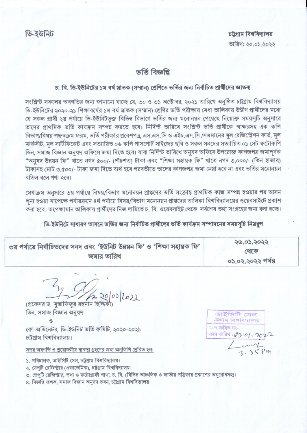## ভৰ্তি বিজ্ঞপ্তি

## চ, বি, ডি-ইউনিটের ১ম বর্ষ স্নাতক (সম্মান) শ্রেণিতে ভর্তির জন্য নির্বাচিত প্রার্থীদের জ্ঞাতব্য

সংশ্লিন্ট সকলের অবগতির জন্য জানানো যাচ্ছে যে, ৩০ ও ৩১ অক্টোবর, ২০২১ তারিখে অনুষ্ঠিত চট্টগ্রাম বিশ্ববিদ্যালয় ডি-ইউনিটের ২০২০-২১ শিক্ষাবর্ষের ১ম বর্ষ স্লাতক (সম্মান) শ্রেণির ভর্তি পরীক্ষায় মেধা তালিকায় উর্ত্তীণ প্রার্থীদের মধ্যে যে সকল প্রার্থী ২য় পর্যায়ে ডি-ইউনিটভুক্ত বিভিন্ন বিভাগে ভর্তির জন্য মনোনয়ন পেয়েছে নিম্নোক্ত সময়সূচি অনুসারে তাদের প্রাথমিক ভর্তি কাযক্রম সম্পন্ন করতে হবে। নির্দিন্ট তারিখে সংশ্লিন্ট ভর্তি প্রার্থীকে স্বাক্ষরসহ এক কপি বিভাগ/বিষয় পছন্দক্রম ফরম, ভর্তি পরীক্ষার প্রবেশপত্র, এস.এস.সি ও এইচ.এস.সি /সমমানের মূল রেজিস্ট্রেশন কার্ড, মূল মার্কসীট, মল সাটিফিকেট এবং সত্যায়িত ০৬ কপি পাসপোর্ট সাইজের ছবি ও সকল সনদের সত্যায়িত ০১ সেট ফটোকপি ডিন, সমাজ বিজ্ঞান অনুষদ অফিসে জমা দিতে হবে। যারা নির্দিস্ট তারিখে অনুষদ অফিসে উপরোক্ত কাগজপত্র জমাপূর্বক "অনুষদ উন্নয়ন ফি" খাতে নগদ ৫০০/- (পাঁচশত) টাকা এবং "শিক্ষা সহায়ক ফি" খাতে নগদ ৩,০০০/- (তিন হাজার) টাকাসহ মোট ৩,৫০০/- টাকা জমা দিতে ব্যর্থ হবে পরবর্তীতে তাদের কাগজপত্র জমা নেয়া হবে না এবং ভর্তির মনোনয়ন বতিল বলে গণ্য হবে।

মেধাক্রম অনুসারে ৩য় পর্যায়ে বিষয়/বিভাগ মনোনয়ন প্রাপ্তদের ভর্তি সংক্রান্ত প্রাথমিক কাজ সম্পন্ন হওয়ার পর আসন শন্য হওয়া সাপেক্ষে পর্যায়ক্রমে ৪র্থ পর্যায়ে বিষয়/বিভাগ মনোনয়ন প্রাপ্তদের তালিকা বিশ্ববিদ্যালয়ের ওয়েবসাইটে প্রকাশ করা হবে। অপেক্ষামান তালিকায় প্রার্থীদের নিজ দায়িত্বে চ. বি. ওয়েবসাইট থেকে সর্বশেষ তথ্য সংগ্রহের জন্য বলা হচ্ছে।

ডি-ইউনিটে সাধারণ আসনে ভর্তির জন্য নির্বাচিত প্রার্থীদের ভর্তি কার্যক্রম সম্পাদনের সময়সচি নিয়রপ

| ৩য় পৰ্যায়ে নিৰ্বাচিতদেৱ সনদ এবং 'ইউনিট উন্নয়ন ফি' ও 'শিক্ষা সহায়ক ফি' | ২৬.০১.২০২২        |
|---------------------------------------------------------------------------|-------------------|
| জমার তারিখ                                                                | থেকে              |
|                                                                           | ০১.০২.২০২২ পরন্তু |

20/03/2022

প্রফেসর ড. মস্তাফিজর রহমান ছিদ্দির্ব ডিন. সমাজ বিজ্ঞান অনষদ

কো-অর্ডিনেটর, ডি-ইউনিট ভর্তি কমিটি, ২০২০-২০২১ চট্টগ্রাম বিশ্ববিদ্যালয়।

সদয় অবগতি ও প্রয়োজনীয় ব্যবস্থা গ্রহণের জন্য অনলিপি প্রেরিত হল:

১. পরিচালক, আইসিটি সেল, চট্টগ্রাম বিশ্ববিদ্যালয়।

- ২. ডেপটি রেজিস্ট্রার (একাডেমিক), চট্টগ্রাম বিশ্ববিদ্যালয়।
- ৩. ডেপটি রেজিস্ট্রার, তথ্য ও ফটোগ্রাফী শাখা, চ. বি. (বিভিন্ন আঞ্চলিক ও জাতীয় পত্রিকায় প্রকাশের অনুরোধসহ)।
- ৪. বিজ্ঞপ্তি ফলক, সমাজ বিজ্ঞান অনুষদ ভবন, চট্টগ্ৰাম বিশ্ববিদ্যালয়।

আইসিটি সেল াক্ষাম বিশ্ববিদ্যালয় ্ৰতণ ক্ৰমিক নং-DE TAT: 23.01.2022  $\frac{1}{35}$  pm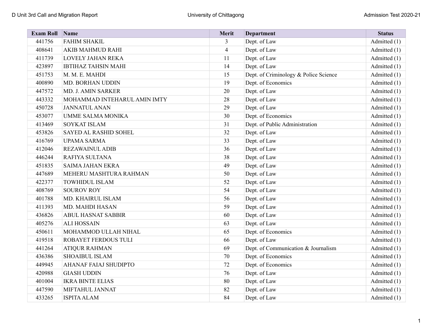| <b>Exam Roll</b> | Name                         | Merit          | Department                            | <b>Status</b> |
|------------------|------------------------------|----------------|---------------------------------------|---------------|
| 441756           | <b>FAHIM SHAKIL</b>          | 3              | Dept. of Law                          | Admitted (1)  |
| 408641           | AKIB MAHMUD RAHI             | $\overline{4}$ | Dept. of Law                          | Admitted (1)  |
| 411739           | <b>LOVELY JAHAN REKA</b>     | 11             | Dept. of Law                          | Admitted (1)  |
| 423897           | <b>IBTIHAZ TAHSIN MAHI</b>   | 14             | Dept. of Law                          | Admitted (1)  |
| 451753           | M. M. E. MAHDI               | 15             | Dept. of Criminology & Police Science | Admitted (1)  |
| 400890           | <b>MD. BORHAN UDDIN</b>      | 19             | Dept. of Economics                    | Admitted (1)  |
| 447572           | MD. J. AMIN SARKER           | 20             | Dept. of Law                          | Admitted (1)  |
| 443332           | MOHAMMAD INTEHARUL AMIN IMTY | 28             | Dept. of Law                          | Admitted (1)  |
| 450728           | <b>JANNATUL ANAN</b>         | 29             | Dept. of Law                          | Admitted (1)  |
| 453077           | <b>UMME SALMA MONIKA</b>     | 30             | Dept. of Economics                    | Admitted (1)  |
| 413469           | SOYKAT ISLAM                 | 31             | Dept. of Public Administration        | Admitted (1)  |
| 453826           | SAYED AL RASHID SOHEL        | 32             | Dept. of Law                          | Admitted (1)  |
| 416769           | <b>UPAMA SARMA</b>           | 33             | Dept. of Law                          | Admitted (1)  |
| 412046           | <b>REZAWAINUL ADIB</b>       | 36             | Dept. of Law                          | Admitted (1)  |
| 446244           | RAFIYA SULTANA               | 38             | Dept. of Law                          | Admitted (1)  |
| 451835           | <b>SAIMA JAHAN EKRA</b>      | 49             | Dept. of Law                          | Admitted (1)  |
| 447689           | MEHERU MASHTURA RAHMAN       | 50             | Dept. of Law                          | Admitted (1)  |
| 422377           | <b>TOWHIDUL ISLAM</b>        | 52             | Dept. of Law                          | Admitted (1)  |
| 408769           | <b>SOUROV ROY</b>            | 54             | Dept. of Law                          | Admitted (1)  |
| 401788           | MD. KHAIRUL ISLAM            | 56             | Dept. of Law                          | Admitted (1)  |
| 411393           | MD. MAHDI HASAN              | 59             | Dept. of Law                          | Admitted (1)  |
| 436826           | <b>ABUL HASNAT SABBIR</b>    | 60             | Dept. of Law                          | Admitted (1)  |
| 405276           | <b>ALI HOSSAIN</b>           | 63             | Dept. of Law                          | Admitted (1)  |
| 450611           | MOHAMMOD ULLAH NIHAL         | 65             | Dept. of Economics                    | Admitted (1)  |
| 419518           | ROBAYET FERDOUS TULI         | 66             | Dept. of Law                          | Admitted (1)  |
| 441264           | <b>ATIQUR RAHMAN</b>         | 69             | Dept. of Communication & Journalism   | Admitted (1)  |
| 436386           | <b>SHOAIBUL ISLAM</b>        | 70             | Dept. of Economics                    | Admitted (1)  |
| 449945           | AHANAF FAIAJ SHUDIPTO        | 72             | Dept. of Economics                    | Admitted (1)  |
| 420988           | <b>GIASH UDDIN</b>           | 76             | Dept. of Law                          | Admitted (1)  |
| 401004           | <b>IKRA BINTE ELIAS</b>      | 80             | Dept. of Law                          | Admitted (1)  |
| 447590           | MIFTAHUL JANNAT              | 82             | Dept. of Law                          | Admitted (1)  |
| 433265           | <b>ISPITA ALAM</b>           | 84             | Dept. of Law                          | Admitted (1)  |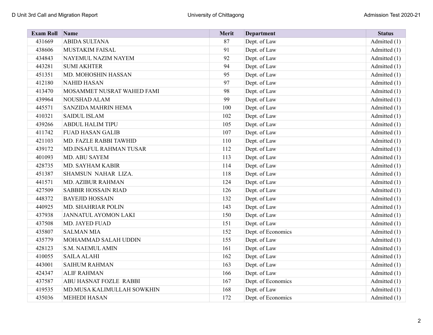| <b>Exam Roll</b> | Name                       | Merit | <b>Department</b>  | <b>Status</b>  |
|------------------|----------------------------|-------|--------------------|----------------|
| 431669           | <b>ABIDA SULTANA</b>       | 87    | Dept. of Law       | Admitted (1)   |
| 438606           | <b>MUSTAKIM FAISAL</b>     | 91    | Dept. of Law       | Admitted (1)   |
| 434843           | NAYEMUL NAZIM NAYEM        | 92    | Dept. of Law       | Admitted (1)   |
| 443281           | <b>SUMI AKHTER</b>         | 94    | Dept. of Law       | Admitted $(1)$ |
| 451351           | MD. MOHOSHIN HASSAN        | 95    | Dept. of Law       | Admitted $(1)$ |
| 412180           | <b>NAHID HASAN</b>         | 97    | Dept. of Law       | Admitted (1)   |
| 413470           | MOSAMMET NUSRAT WAHED FAMI | 98    | Dept. of Law       | Admitted (1)   |
| 439964           | NOUSHAD ALAM               | 99    | Dept. of Law       | Admitted $(1)$ |
| 445571           | SANZIDA MAHRIN HEMA        | 100   | Dept. of Law       | Admitted (1)   |
| 410321           | <b>SAIDUL ISLAM</b>        | 102   | Dept. of Law       | Admitted (1)   |
| 439266           | <b>ABDUL HALIM TIPU</b>    | 105   | Dept. of Law       | Admitted (1)   |
| 411742           | <b>FUAD HASAN GALIB</b>    | 107   | Dept. of Law       | Admitted $(1)$ |
| 421103           | MD. FAZLE RABBI TAWHID     | 110   | Dept. of Law       | Admitted (1)   |
| 439172           | MD.INSAFUL RAHMAN TUSAR    | 112   | Dept. of Law       | Admitted $(1)$ |
| 401093           | MD. ABU SAYEM              | 113   | Dept. of Law       | Admitted $(1)$ |
| 428735           | MD. SAYHAM KABIR           | 114   | Dept. of Law       | Admitted $(1)$ |
| 451387           | SHAMSUN NAHAR LIZA.        | 118   | Dept. of Law       | Admitted (1)   |
| 441571           | MD. AZIBUR RAHMAN          | 124   | Dept. of Law       | Admitted (1)   |
| 427509           | <b>SABBIR HOSSAIN RIAD</b> | 126   | Dept. of Law       | Admitted (1)   |
| 448372           | <b>BAYEJID HOSSAIN</b>     | 132   | Dept. of Law       | Admitted $(1)$ |
| 440925           | MD. SHAHRIAR POLIN         | 143   | Dept. of Law       | Admitted (1)   |
| 437938           | JANNATUL AYOMON LAKI       | 150   | Dept. of Law       | Admitted (1)   |
| 437508           | MD. JAYED FUAD             | 151   | Dept. of Law       | Admitted $(1)$ |
| 435807           | <b>SALMAN MIA</b>          | 152   | Dept. of Economics | Admitted $(1)$ |
| 435779           | MOHAMMAD SALAH UDDIN       | 155   | Dept. of Law       | Admitted (1)   |
| 428123           | S.M. NAEMUL AMIN           | 161   | Dept. of Law       | Admitted (1)   |
| 410055           | <b>SAILA ALAHI</b>         | 162   | Dept. of Law       | Admitted $(1)$ |
| 443001           | <b>SAIHUM RAHMAN</b>       | 163   | Dept. of Law       | Admitted $(1)$ |
| 424347           | <b>ALIF RAHMAN</b>         | 166   | Dept. of Law       | Admitted (1)   |
| 437587           | ABU HASNAT FOZLE RABBI     | 167   | Dept. of Economics | Admitted $(1)$ |
| 419535           | MD.MUSA KALIMULLAH SOWKHIN | 168   | Dept. of Law       | Admitted $(1)$ |
| 435036           | <b>MEHEDI HASAN</b>        | 172   | Dept. of Economics | Admitted $(1)$ |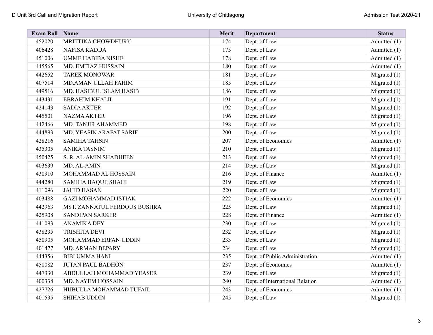| <b>Exam Roll</b> | Name                         | Merit | <b>Department</b>               | <b>Status</b>  |
|------------------|------------------------------|-------|---------------------------------|----------------|
| 452020           | MRITTIKA CHOWDHURY           | 174   | Dept. of Law                    | Admitted (1)   |
| 406428           | NAFISA KADIJA                | 175   | Dept. of Law                    | Admitted (1)   |
| 451006           | <b>UMME HABIBA NISHE</b>     | 178   | Dept. of Law                    | Admitted (1)   |
| 445565           | MD. EMTIAZ HUSSAIN           | 180   | Dept. of Law                    | Admitted (1)   |
| 442652           | <b>TAREK MONOWAR</b>         | 181   | Dept. of Law                    | Migrated $(1)$ |
| 407514           | MD.AMAN ULLAH FAHIM          | 185   | Dept. of Law                    | Migrated $(1)$ |
| 449516           | MD. HASIBUL ISLAM HASIB      | 186   | Dept. of Law                    | Migrated $(1)$ |
| 443431           | <b>EBRAHIM KHALIL</b>        | 191   | Dept. of Law                    | Migrated $(1)$ |
| 424143           | <b>SADIA AKTER</b>           | 192   | Dept. of Law                    | Migrated (1)   |
| 445501           | <b>NAZMA AKTER</b>           | 196   | Dept. of Law                    | Migrated (1)   |
| 442466           | MD. TANJIR AHAMMED           | 198   | Dept. of Law                    | Migrated $(1)$ |
| 444893           | MD. YEASIN ARAFAT SARIF      | 200   | Dept. of Law                    | Migrated $(1)$ |
| 428216           | <b>SAMIHA TAHSIN</b>         | 207   | Dept. of Economics              | Admitted (1)   |
| 435305           | <b>ANIKA TASNIM</b>          | 210   | Dept. of Law                    | Migrated $(1)$ |
| 450425           | S. R. AL-AMIN SHADHEEN       | 213   | Dept. of Law                    | Migrated $(1)$ |
| 403639           | MD. AL-AMIN                  | 214   | Dept. of Law                    | Migrated (1)   |
| 430910           | MOHAMMAD AL HOSSAIN          | 216   | Dept. of Finance                | Admitted (1)   |
| 444280           | <b>SAMIHA HAQUE SHAHI</b>    | 219   | Dept. of Law                    | Migrated $(1)$ |
| 411096           | <b>JAHID HASAN</b>           | 220   | Dept. of Law                    | Migrated $(1)$ |
| 403488           | <b>GAZI MOHAMMAD ISTIAK</b>  | 222   | Dept. of Economics              | Admitted (1)   |
| 442963           | MST. ZANNATUL FERDOUS BUSHRA | 225   | Dept. of Law                    | Migrated $(1)$ |
| 425908           | <b>SANDIPAN SARKER</b>       | 228   | Dept. of Finance                | Admitted (1)   |
| 441093           | <b>ANAMIKA DEY</b>           | 230   | Dept. of Law                    | Migrated $(1)$ |
| 438235           | TRISHITA DEVI                | 232   | Dept. of Law                    | Migrated (1)   |
| 450905           | MOHAMMAD ERFAN UDDIN         | 233   | Dept. of Law                    | Migrated (1)   |
| 401477           | MD. ARMAN BEPARY             | 234   | Dept. of Law                    | Migrated $(1)$ |
| 444356           | <b>BIBI UMMA HANI</b>        | 235   | Dept. of Public Administration  | Admitted (1)   |
| 450082           | <b>JUTAN PAUL BADHON</b>     | 237   | Dept. of Economics              | Admitted (1)   |
| 447330           | ABDULLAH MOHAMMAD YEASER     | 239   | Dept. of Law                    | Migrated $(1)$ |
| 400338           | MD. NAYEM HOSSAIN            | 240   | Dept. of International Relation | Admitted (1)   |
| 427726           | HIJBULLA MOHAMMAD TUFAIL     | 243   | Dept. of Economics              | Admitted (1)   |
| 401595           | <b>SHIHAB UDDIN</b>          | 245   | Dept. of Law                    | Migrated $(1)$ |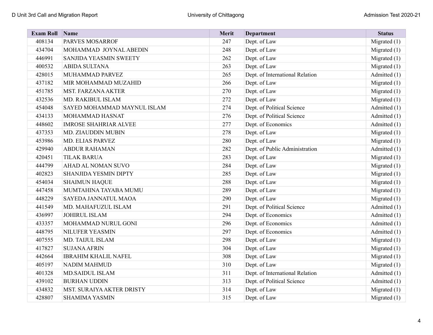| <b>Exam Roll</b> | Name                         | Merit | <b>Department</b>               | <b>Status</b>  |
|------------------|------------------------------|-------|---------------------------------|----------------|
| 408134           | PARVES MOSARROF              | 247   | Dept. of Law                    | Migrated $(1)$ |
| 434704           | MOHAMMAD JOYNAL ABEDIN       | 248   | Dept. of Law                    | Migrated $(1)$ |
| 446991           | SANJIDA YEASMIN SWEETY       | 262   | Dept. of Law                    | Migrated $(1)$ |
| 400532           | <b>ABIDA SULTANA</b>         | 263   | Dept. of Law                    | Migrated $(1)$ |
| 428015           | MUHAMMAD PARVEZ              | 265   | Dept. of International Relation | Admitted (1)   |
| 437182           | MIR MOHAMMAD MUZAHID         | 266   | Dept. of Law                    | Migrated $(1)$ |
| 451785           | MST. FARZANA AKTER           | 270   | Dept. of Law                    | Migrated $(1)$ |
| 432536           | MD. RAKIBUL ISLAM            | 272   | Dept. of Law                    | Migrated $(1)$ |
| 454048           | SAYED MOHAMMAD MAYNUL ISLAM  | 274   | Dept. of Political Science      | Admitted (1)   |
| 434133           | MOHAMMAD HASNAT              | 276   | Dept. of Political Science      | Admitted (1)   |
| 448602           | <b>IMROSE SHAHRIAR ALVEE</b> | 277   | Dept. of Economics              | Admitted (1)   |
| 437353           | MD. ZIAUDDIN MUBIN           | 278   | Dept. of Law                    | Migrated $(1)$ |
| 453986           | MD. ELIAS PARVEZ             | 280   | Dept. of Law                    | Migrated $(1)$ |
| 429940           | <b>ABDUR RAHAMAN</b>         | 282   | Dept. of Public Administration  | Admitted (1)   |
| 420451           | <b>TILAK BARUA</b>           | 283   | Dept. of Law                    | Migrated (1)   |
| 444799           | AHAD AL NOMAN SUVO           | 284   | Dept. of Law                    | Migrated $(1)$ |
| 402823           | SHANJIDA YESMIN DIPTY        | 285   | Dept. of Law                    | Migrated $(1)$ |
| 454034           | <b>SHAIMUN HAQUE</b>         | 288   | Dept. of Law                    | Migrated (1)   |
| 447458           | MUMTAHINA TAYABA MUMU        | 289   | Dept. of Law                    | Migrated $(1)$ |
| 448229           | SAYEDA JANNATUL MAOA         | 290   | Dept. of Law                    | Migrated $(1)$ |
| 441549           | MD. MAHAFUZUL ISLAM          | 291   | Dept. of Political Science      | Admitted (1)   |
| 436997           | <b>JOHIRUL ISLAM</b>         | 294   | Dept. of Economics              | Admitted (1)   |
| 433357           | MOHAMMAD NURUL GONI          | 296   | Dept. of Economics              | Admitted (1)   |
| 448795           | NILUFER YEASMIN              | 297   | Dept. of Economics              | Admitted (1)   |
| 407555           | MD. TAIJUL ISLAM             | 298   | Dept. of Law                    | Migrated $(1)$ |
| 417827           | <b>SUJANA AFRIN</b>          | 304   | Dept. of Law                    | Migrated $(1)$ |
| 442664           | <b>IBRAHIM KHALIL NAFEL</b>  | 308   | Dept. of Law                    | Migrated $(1)$ |
| 405197           | <b>NADIM MAHMUD</b>          | 310   | Dept. of Law                    | Migrated (1)   |
| 401328           | MD.SAIDUL ISLAM              | 311   | Dept. of International Relation | Admitted (1)   |
| 439102           | <b>BURHAN UDDIN</b>          | 313   | Dept. of Political Science      | Admitted (1)   |
| 434832           | MST. SURAIYA AKTER DRISTY    | 314   | Dept. of Law                    | Migrated $(1)$ |
| 428807           | <b>SHAMIMA YASMIN</b>        | 315   | Dept. of Law                    | Migrated $(1)$ |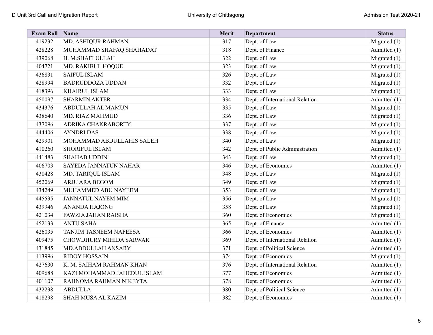| <b>Exam Roll</b> | Name                        | Merit | <b>Department</b>               | <b>Status</b>  |
|------------------|-----------------------------|-------|---------------------------------|----------------|
| 419232           | MD. ASHIQUR RAHMAN          | 317   | Dept. of Law                    | Migrated $(1)$ |
| 428228           | MUHAMMAD SHAFAQ SHAHADAT    | 318   | Dept. of Finance                | Admitted (1)   |
| 439068           | H. M.SHAFI ULLAH            | 322   | Dept. of Law                    | Migrated $(1)$ |
| 404721           | MD. RAKIBUL HOQUE           | 323   | Dept. of Law                    | Migrated $(1)$ |
| 436831           | <b>SAIFUL ISLAM</b>         | 326   | Dept. of Law                    | Migrated $(1)$ |
| 428994           | <b>BADRUDDOZA UDDAN</b>     | 332   | Dept. of Law                    | Migrated (1)   |
| 418396           | <b>KHAIRUL ISLAM</b>        | 333   | Dept. of Law                    | Migrated $(1)$ |
| 450097           | <b>SHARMIN AKTER</b>        | 334   | Dept. of International Relation | Admitted (1)   |
| 434376           | ABDULLAH AL MAMUN           | 335   | Dept. of Law                    | Migrated $(1)$ |
| 438640           | MD. RIAZ MAHMUD             | 336   | Dept. of Law                    | Migrated $(1)$ |
| 437096           | ADRIKA CHAKRABORTY          | 337   | Dept. of Law                    | Migrated (1)   |
| 444406           | <b>AYNDRI DAS</b>           | 338   | Dept. of Law                    | Migrated $(1)$ |
| 429901           | MOHAMMAD ABDULLAHIS SALEH   | 340   | Dept. of Law                    | Migrated $(1)$ |
| 410260           | SHORIFUL ISLAM              | 342   | Dept. of Public Administration  | Admitted (1)   |
| 441483           | <b>SHAHAB UDDIN</b>         | 343   | Dept. of Law                    | Migrated $(1)$ |
| 406703           | SAYEDA JANNATUN NAHAR       | 346   | Dept. of Economics              | Admitted (1)   |
| 430428           | MD. TARIQUL ISLAM           | 348   | Dept. of Law                    | Migrated $(1)$ |
| 452069           | ARJU ARA BEGOM              | 349   | Dept. of Law                    | Migrated $(1)$ |
| 434249           | MUHAMMED ABU NAYEEM         | 353   | Dept. of Law                    | Migrated $(1)$ |
| 445535           | <b>JANNATUL NAYEM MIM</b>   | 356   | Dept. of Law                    | Migrated (1)   |
| 439946           | <b>ANANDA HAJONG</b>        | 358   | Dept. of Law                    | Migrated $(1)$ |
| 421034           | <b>FAWZIA JAHAN RAISHA</b>  | 360   | Dept. of Economics              | Migrated $(1)$ |
| 452133           | <b>ANTU SAHA</b>            | 365   | Dept. of Finance                | Admitted (1)   |
| 426035           | TANJIM TASNEEM NAFEESA      | 366   | Dept. of Economics              | Admitted (1)   |
| 409475           | CHOWDHURY MIHIDA SARWAR     | 369   | Dept. of International Relation | Admitted (1)   |
| 431845           | MD.ABDULLAH ANSARY          | 371   | Dept. of Political Science      | Admitted (1)   |
| 413996           | <b>RIDOY HOSSAIN</b>        | 374   | Dept. of Economics              | Migrated $(1)$ |
| 427630           | K. M. SAIHAM RAHMAN KHAN    | 376   | Dept. of International Relation | Admitted (1)   |
| 409688           | KAZI MOHAMMAD JAHEDUL ISLAM | 377   | Dept. of Economics              | Admitted (1)   |
| 401107           | RAHNOMA RAHMAN NIKEYTA      | 378   | Dept. of Economics              | Admitted (1)   |
| 432238           | <b>ABDULLA</b>              | 380   | Dept. of Political Science      | Admitted (1)   |
| 418298           | <b>SHAH MUSA AL KAZIM</b>   | 382   | Dept. of Economics              | Admitted (1)   |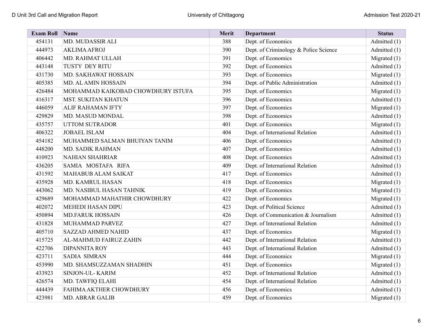| <b>Exam Roll</b> | Name                               | Merit | <b>Department</b>                     | <b>Status</b>  |
|------------------|------------------------------------|-------|---------------------------------------|----------------|
| 454131           | MD. MUDASSIR ALI                   | 388   | Dept. of Economics                    | Admitted (1)   |
| 444973           | <b>AKLIMA AFROJ</b>                | 390   | Dept. of Criminology & Police Science | Admitted (1)   |
| 406442           | MD. RAHMAT ULLAH                   | 391   | Dept. of Economics                    | Migrated (1)   |
| 443148           | TUSTY DEY RITU                     | 392   | Dept. of Economics                    | Admitted (1)   |
| 431730           | MD. SAKHAWAT HOSSAIN               | 393   | Dept. of Economics                    | Migrated $(1)$ |
| 405385           | MD. AL AMIN HOSSAIN                | 394   | Dept. of Public Administration        | Admitted (1)   |
| 426484           | MOHAMMAD KAIKOBAD CHOWDHURY ISTUFA | 395   | Dept. of Economics                    | Migrated (1)   |
| 416317           | <b>MST. SUKITAN KHATUN</b>         | 396   | Dept. of Economics                    | Admitted (1)   |
| 446059           | <b>ALIF RAHAMAN IFTY</b>           | 397   | Dept. of Economics                    | Migrated $(1)$ |
| 429829           | MD. MASUD MONDAL                   | 398   | Dept. of Economics                    | Admitted (1)   |
| 435757           | <b>UTTOM SUTRADOR</b>              | 401   | Dept. of Economics                    | Migrated $(1)$ |
| 406322           | <b>JOBAEL ISLAM</b>                | 404   | Dept. of International Relation       | Admitted (1)   |
| 454182           | MUHAMMED SALMAN BHUIYAN TANIM      | 406   | Dept. of Economics                    | Admitted (1)   |
| 448200           | MD. SADIK RAHMAN                   | 407   | Dept. of Economics                    | Admitted (1)   |
| 410923           | <b>NAHIAN SHAHRIAR</b>             | 408   | Dept. of Economics                    | Admitted (1)   |
| 436205           | SAMIA MOSTAFA RIFA                 | 409   | Dept. of International Relation       | Admitted (1)   |
| 431592           | MAHABUB ALAM SAIKAT                | 417   | Dept. of Economics                    | Admitted (1)   |
| 435928           | MD. KAMRUL HASAN                   | 418   | Dept. of Economics                    | Migrated $(1)$ |
| 443062           | MD. NASIBUL HASAN TAHNIK           | 419   | Dept. of Economics                    | Migrated $(1)$ |
| 429689           | MOHAMMAD MAHATHIR CHOWDHURY        | 422   | Dept. of Economics                    | Migrated $(1)$ |
| 402072           | <b>MEHEDI HASAN DIPU</b>           | 423   | Dept. of Political Science            | Admitted (1)   |
| 450894           | <b>MD.FARUK HOSSAIN</b>            | 426   | Dept. of Communication & Journalism   | Admitted (1)   |
| 431828           | MUHAMMAD PARVEZ                    | 427   | Dept. of International Relation       | Admitted (1)   |
| 405710           | <b>SAZZAD AHMED NAHID</b>          | 437   | Dept. of Economics                    | Migrated $(1)$ |
| 415725           | AL-MAHMUD FAIRUZ ZAHIN             | 442   | Dept. of International Relation       | Admitted (1)   |
| 422706           | <b>DIPANNITA ROY</b>               | 443   | Dept. of International Relation       | Admitted (1)   |
| 423711           | <b>SADIA SIMRAN</b>                | 444   | Dept. of Economics                    | Migrated $(1)$ |
| 453990           | MD. SHAMSUZZAMAN SHADHIN           | 451   | Dept. of Economics                    | Migrated $(1)$ |
| 433923           | SINJON-UL-KARIM                    | 452   | Dept. of International Relation       | Admitted (1)   |
| 426574           | MD. TAWFIQ ELAHI                   | 454   | Dept. of International Relation       | Admitted (1)   |
| 444439           | FAHIMA AKTHER CHOWDHURY            | 456   | Dept. of Economics                    | Admitted (1)   |
| 423981           | <b>MD. ABRAR GALIB</b>             | 459   | Dept. of Economics                    | Migrated $(1)$ |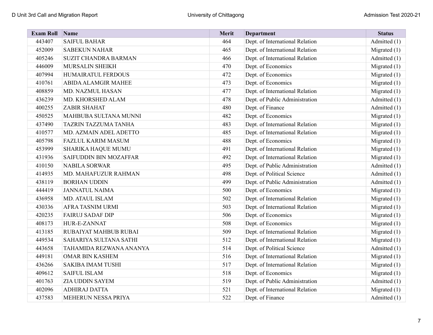| <b>Exam Roll</b> | $\sum_{ }$ Name             | Merit | <b>Department</b>               | <b>Status</b>  |
|------------------|-----------------------------|-------|---------------------------------|----------------|
| 443407           | <b>SAIFUL BAHAR</b>         | 464   | Dept. of International Relation | Admitted (1)   |
| 452009           | <b>SABEKUN NAHAR</b>        | 465   | Dept. of International Relation | Migrated $(1)$ |
| 405246           | <b>SUZIT CHANDRA BARMAN</b> | 466   | Dept. of International Relation | Admitted (1)   |
| 446009           | MURSALIN SHEIKH             | 470   | Dept. of Economics              | Migrated $(1)$ |
| 407994           | HUMAIRATUL FERDOUS          | 472   | Dept. of Economics              | Migrated $(1)$ |
| 410761           | <b>ABIDA ALAMGIR MAHEE</b>  | 473   | Dept. of Economics              | Migrated $(1)$ |
| 408859           | MD. NAZMUL HASAN            | 477   | Dept. of International Relation | Migrated $(1)$ |
| 436239           | MD. KHORSHED ALAM           | 478   | Dept. of Public Administration  | Admitted (1)   |
| 400255           | <b>ZABIR SHAHAT</b>         | 480   | Dept. of Finance                | Admitted (1)   |
| 450525           | MAHBUBA SULTANA MUNNI       | 482   | Dept. of Economics              | Migrated $(1)$ |
| 437490           | TAZRIN TAZZUMA TANHA        | 483   | Dept. of International Relation | Migrated (1)   |
| 410577           | MD. AZMAIN ADEL ADETTO      | 485   | Dept. of International Relation | Migrated $(1)$ |
| 405798           | <b>FAZLUL KARIM MASUM</b>   | 488   | Dept. of Economics              | Migrated $(1)$ |
| 453999           | SHARIKA HAQUE MUMU          | 491   | Dept. of International Relation | Migrated (1)   |
| 431936           | SAIFUDDIN BIN MOZAFFAR      | 492   | Dept. of International Relation | Migrated $(1)$ |
| 410150           | <b>NABILA SORWAR</b>        | 495   | Dept. of Public Administration  | Admitted (1)   |
| 414935           | MD. MAHAFUZUR RAHMAN        | 498   | Dept. of Political Science      | Admitted (1)   |
| 438119           | <b>BORHAN UDDIN</b>         | 499   | Dept. of Public Administration  | Admitted (1)   |
| 444419           | <b>JANNATUL NAIMA</b>       | 500   | Dept. of Economics              | Migrated $(1)$ |
| 436958           | MD. ATAUL ISLAM             | 502   | Dept. of International Relation | Migrated $(1)$ |
| 430336           | AFRA TASNIM URMI            | 503   | Dept. of International Relation | Migrated $(1)$ |
| 420235           | <b>FAIRUJ SADAF DIP</b>     | 506   | Dept. of Economics              | Migrated $(1)$ |
| 408173           | HUR-E-ZANNAT                | 508   | Dept. of Economics              | Migrated $(1)$ |
| 413185           | RUBAIYAT MAHBUB RUBAI       | 509   | Dept. of International Relation | Migrated $(1)$ |
| 449534           | SAHARIYA SULTANA SATHI      | 512   | Dept. of International Relation | Migrated $(1)$ |
| 443658           | TAHAMIDA REZWANA ANANYA     | 514   | Dept. of Political Science      | Admitted (1)   |
| 449181           | <b>OMAR BIN KASHEM</b>      | 516   | Dept. of International Relation | Migrated $(1)$ |
| 436266           | <b>SAKIBA IMAM TUSHI</b>    | 517   | Dept. of International Relation | Migrated $(1)$ |
| 409612           | <b>SAIFUL ISLAM</b>         | 518   | Dept. of Economics              | Migrated $(1)$ |
| 401763           | ZIA UDDIN SAYEM             | 519   | Dept. of Public Administration  | Admitted (1)   |
| 402096           | ADHIRAJ DATTA               | 521   | Dept. of International Relation | Migrated $(1)$ |
| 437583           | MEHERUN NESSA PRIYA         | 522   | Dept. of Finance                | Admitted (1)   |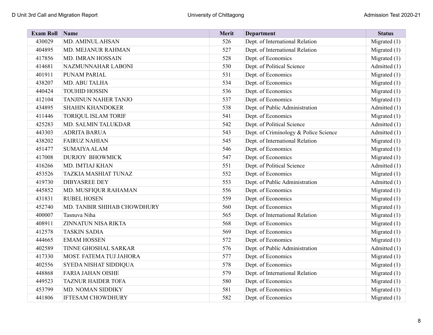| <b>Exam Roll Name</b> |                             | <b>Merit</b> | <b>Department</b>                     | <b>Status</b>  |
|-----------------------|-----------------------------|--------------|---------------------------------------|----------------|
| 430029                | MD. AMINUL AHSAN            | 526          | Dept. of International Relation       | Migrated $(1)$ |
| 404895                | MD. MEJANUR RAHMAN          | 527          | Dept. of International Relation       | Migrated $(1)$ |
| 417856                | MD. IMRAN HOSSAIN           | 528          | Dept. of Economics                    | Migrated $(1)$ |
| 414681                | NAZMUNNAHAR LABONI          | 530          | Dept. of Political Science            | Admitted (1)   |
| 401911                | PUNAM PARIAL                | 531          | Dept. of Economics                    | Migrated $(1)$ |
| 438207                | MD. ABU TALHA               | 534          | Dept. of Economics                    | Migrated $(1)$ |
| 440424                | <b>TOUHID HOSSIN</b>        | 536          | Dept. of Economics                    | Migrated $(1)$ |
| 412104                | TANJINUN NAHER TANJO        | 537          | Dept. of Economics                    | Migrated $(1)$ |
| 434895                | <b>SHAHIN KHANDOKER</b>     | 538          | Dept. of Public Administration        | Admitted (1)   |
| 411446                | TORIQUL ISLAM TORIF         | 541          | Dept. of Economics                    | Migrated $(1)$ |
| 425283                | MD. SALMIN TALUKDAR         | 542          | Dept. of Political Science            | Admitted (1)   |
| 443303                | <b>ADRITA BARUA</b>         | 543          | Dept. of Criminology & Police Science | Admitted (1)   |
| 438202                | <b>FAIRUZ NAHIAN</b>        | 545          | Dept. of International Relation       | Migrated $(1)$ |
| 451477                | <b>SUMAIYA ALAM</b>         | 546          | Dept. of Economics                    | Migrated $(1)$ |
| 417008                | <b>DURJOY BHOWMICK</b>      | 547          | Dept. of Economics                    | Migrated $(1)$ |
| 416266                | MD. IMTIAJ KHAN             | 551          | Dept. of Political Science            | Admitted (1)   |
| 453526                | TAZKIA MASHIAT TUNAZ        | 552          | Dept. of Economics                    | Migrated $(1)$ |
| 419730                | <b>DIBYASREE DEY</b>        | 553          | Dept. of Public Administration        | Admitted (1)   |
| 445852                | MD. MUSFIQUR RAHAMAN        | 556          | Dept. of Economics                    | Migrated $(1)$ |
| 431831                | <b>RUBEL HOSEN</b>          | 559          | Dept. of Economics                    | Migrated $(1)$ |
| 452740                | MD. TANBIR SHIHAB CHOWDHURY | 560          | Dept. of Economics                    | Migrated $(1)$ |
| 400007                | Tasnuva Niha                | 565          | Dept. of International Relation       | Migrated $(1)$ |
| 408911                | ZINNATUN NISA RIKTA         | 568          | Dept. of Economics                    | Migrated $(1)$ |
| 412578                | <b>TASKIN SADIA</b>         | 569          | Dept. of Economics                    | Migrated $(1)$ |
| 444665                | <b>EMAM HOSSEN</b>          | 572          | Dept. of Economics                    | Migrated (1)   |
| 402589                | TINNE GHOSHAL SARKAR        | 576          | Dept. of Public Administration        | Admitted (1)   |
| 417330                | MOST. FATEMA TUJ JAHORA     | 577          | Dept. of Economics                    | Migrated $(1)$ |
| 402556                | SYEDA NISHAT SIDDIQUA       | 578          | Dept. of Economics                    | Migrated $(1)$ |
| 448868                | <b>FARIA JAHAN OISHE</b>    | 579          | Dept. of International Relation       | Migrated $(1)$ |
| 449523                | <b>TAZNUR HAIDER TOFA</b>   | 580          | Dept. of Economics                    | Migrated $(1)$ |
| 453799                | MD. NOMAN SIDDIKY           | 581          | Dept. of Economics                    | Migrated $(1)$ |
| 441806                | <b>IFTESAM CHOWDHURY</b>    | 582          | Dept. of Economics                    | Migrated $(1)$ |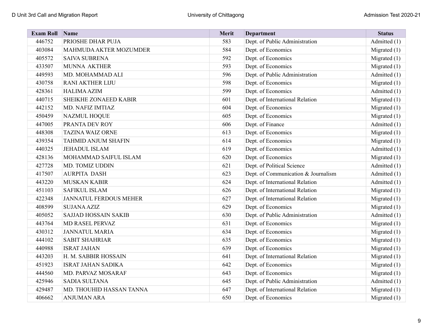| <b>Exam Roll Name</b> |                               | Merit | <b>Department</b>                   | <b>Status</b>  |
|-----------------------|-------------------------------|-------|-------------------------------------|----------------|
| 446752                | PRIOSHE DHAR PUJA             | 583   | Dept. of Public Administration      | Admitted (1)   |
| 403084                | MAHMUDA AKTER MOZUMDER        | 584   | Dept. of Economics                  | Migrated $(1)$ |
| 405572                | <b>SAIVA SUBRENA</b>          | 592   | Dept. of Economics                  | Migrated (1)   |
| 433507                | <b>MUNNA AKTHER</b>           | 593   | Dept. of Economics                  | Migrated $(1)$ |
| 449593                | MD. MOHAMMAD ALI              | 596   | Dept. of Public Administration      | Admitted (1)   |
| 430758                | <b>RANI AKTHER LIJU</b>       | 598   | Dept. of Economics                  | Migrated (1)   |
| 428361                | <b>HALIMA AZIM</b>            | 599   | Dept. of Economics                  | Admitted (1)   |
| 440715                | SHEIKHE ZONAEED KABIR         | 601   | Dept. of International Relation     | Migrated $(1)$ |
| 442152                | MD. NAFIZ IMTIAZ              | 604   | Dept. of Economics                  | Migrated $(1)$ |
| 450459                | <b>NAZMUL HOQUE</b>           | 605   | Dept. of Economics                  | Migrated (1)   |
| 447005                | PRANTA DEV ROY                | 606   | Dept. of Finance                    | Admitted (1)   |
| 448308                | <b>TAZINA WAIZ ORNE</b>       | 613   | Dept. of Economics                  | Migrated $(1)$ |
| 439354                | <b>TAHMID ANJUM SHAFIN</b>    | 614   | Dept. of Economics                  | Migrated $(1)$ |
| 440325                | <b>JEHADUL ISLAM</b>          | 619   | Dept. of Economics                  | Admitted (1)   |
| 428136                | MOHAMMAD SAIFUL ISLAM         | 620   | Dept. of Economics                  | Migrated (1)   |
| 427728                | MD. TOMIZ UDDIN               | 621   | Dept. of Political Science          | Admitted (1)   |
| 417507                | <b>AURPITA DASH</b>           | 623   | Dept. of Communication & Journalism | Admitted (1)   |
| 443220                | <b>MUSKAN KABIR</b>           | 624   | Dept. of International Relation     | Admitted (1)   |
| 451103                | <b>SAFIKUL ISLAM</b>          | 626   | Dept. of International Relation     | Migrated $(1)$ |
| 422348                | <b>JANNATUL FERDOUS MEHER</b> | 627   | Dept. of International Relation     | Migrated $(1)$ |
| 408599                | <b>SUJANA AZIZ</b>            | 629   | Dept. of Economics                  | Migrated $(1)$ |
| 405052                | <b>SAJJAD HOSSAIN SAKIB</b>   | 630   | Dept. of Public Administration      | Admitted (1)   |
| 443764                | MD RASEL PERVAZ               | 631   | Dept. of Economics                  | Migrated $(1)$ |
| 430312                | <b>JANNATUL MARIA</b>         | 634   | Dept. of Economics                  | Migrated $(1)$ |
| 444102                | <b>SABIT SHAHRIAR</b>         | 635   | Dept. of Economics                  | Migrated $(1)$ |
| 440988                | <b>ISRAT JAHAN</b>            | 639   | Dept. of Economics                  | Migrated (1)   |
| 443203                | H. M. SABBIR HOSSAIN          | 641   | Dept. of International Relation     | Migrated $(1)$ |
| 451923                | <b>ISRAT JAHAN SADIKA</b>     | 642   | Dept. of Economics                  | Migrated $(1)$ |
| 444560                | MD. PARVAZ MOSARAF            | 643   | Dept. of Economics                  | Migrated (1)   |
| 425946                | <b>SADIA SULTANA</b>          | 645   | Dept. of Public Administration      | Admitted (1)   |
| 429487                | MD. THOUHID HASSAN TANNA      | 647   | Dept. of International Relation     | Migrated $(1)$ |
| 406662                | <b>ANJUMAN ARA</b>            | 650   | Dept. of Economics                  | Migrated $(1)$ |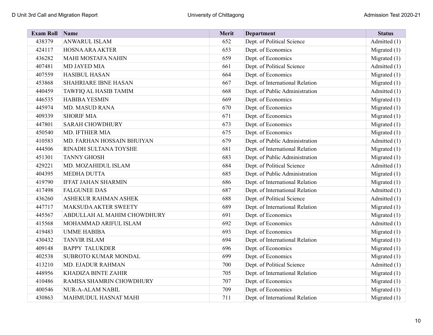| <b>Exam Roll Name</b> |                             | Merit | <b>Department</b>               | <b>Status</b>  |
|-----------------------|-----------------------------|-------|---------------------------------|----------------|
| 438379                | <b>ANWARUL ISLAM</b>        | 652   | Dept. of Political Science      | Admitted (1)   |
| 424117                | <b>HOSNA ARA AKTER</b>      | 653   | Dept. of Economics              | Migrated $(1)$ |
| 436282                | <b>MAHI MOSTAFA NAHIN</b>   | 659   | Dept. of Economics              | Migrated $(1)$ |
| 407481                | MD JAYED MIA                | 661   | Dept. of Political Science      | Admitted (1)   |
| 407559                | <b>HASIBUL HASAN</b>        | 664   | Dept. of Economics              | Migrated $(1)$ |
| 453868                | <b>SHAHRIARE IBNE HASAN</b> | 667   | Dept. of International Relation | Migrated $(1)$ |
| 440459                | TAWFIQ AL HASIB TAMIM       | 668   | Dept. of Public Administration  | Admitted (1)   |
| 446535                | <b>HABIBA YESMIN</b>        | 669   | Dept. of Economics              | Migrated $(1)$ |
| 445974                | <b>MD. MASUD RANA</b>       | 670   | Dept. of Economics              | Migrated $(1)$ |
| 409339                | <b>SHORIF MIA</b>           | 671   | Dept. of Economics              | Migrated $(1)$ |
| 447801                | <b>SARAH CHOWDHURY</b>      | 673   | Dept. of Economics              | Migrated $(1)$ |
| 450540                | MD. IFTHIER MIA             | 675   | Dept. of Economics              | Migrated $(1)$ |
| 410583                | MD. FARHAN HOSSAIN BHUIYAN  | 679   | Dept. of Public Administration  | Admitted (1)   |
| 444506                | RINADH SULTANA TOYSHE       | 681   | Dept. of International Relation | Migrated $(1)$ |
| 451301                | <b>TANNY GHOSH</b>          | 683   | Dept. of Public Administration  | Migrated $(1)$ |
| 429221                | MD. MOZAHIDUL ISLAM         | 684   | Dept. of Political Science      | Admitted (1)   |
| 404395                | <b>MEDHA DUTTA</b>          | 685   | Dept. of Public Administration  | Migrated $(1)$ |
| 419790                | <b>IFFAT JAHAN SHARMIN</b>  | 686   | Dept. of International Relation | Migrated $(1)$ |
| 417498                | <b>FALGUNEE DAS</b>         | 687   | Dept. of International Relation | Admitted (1)   |
| 436260                | ASHEKUR RAHMAN ASHEK        | 688   | Dept. of Political Science      | Admitted (1)   |
| 447717                | MAKSUDA AKTER SWEETY        | 689   | Dept. of International Relation | Migrated $(1)$ |
| 445567                | ABDULLAH AL MAHIM CHOWDHURY | 691   | Dept. of Economics              | Migrated (1)   |
| 415568                | MOHAMMAD ARIFUL ISLAM       | 692   | Dept. of Economics              | Admitted (1)   |
| 419483                | <b>UMME HABIBA</b>          | 693   | Dept. of Economics              | Migrated $(1)$ |
| 430432                | <b>TANVIR ISLAM</b>         | 694   | Dept. of International Relation | Migrated $(1)$ |
| 409148                | <b>BAPPY TALUKDER</b>       | 696   | Dept. of Economics              | Migrated $(1)$ |
| 402538                | SUBROTO KUMAR MONDAL        | 699   | Dept. of Economics              | Migrated $(1)$ |
| 413210                | MD. EJADUR RAHMAN           | 700   | Dept. of Political Science      | Admitted (1)   |
| 448956                | KHADIZA BINTE ZAHIR         | 705   | Dept. of International Relation | Migrated $(1)$ |
| 410486                | RAMISA SHAMRIN CHOWDHURY    | 707   | Dept. of Economics              | Migrated $(1)$ |
| 400546                | <b>NUR-A-ALAM NABIL</b>     | 709   | Dept. of Economics              | Migrated $(1)$ |
| 430863                | MAHMUDUL HASNAT MAHI        | 711   | Dept. of International Relation | Migrated $(1)$ |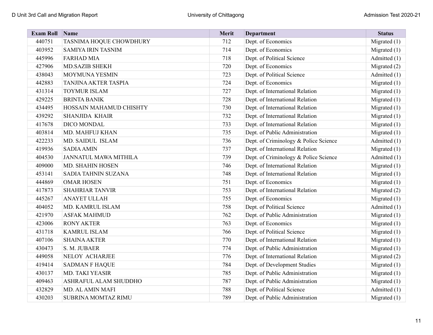| <b>Exam Roll</b> | Name                           | Merit | <b>Department</b>                     | <b>Status</b>  |
|------------------|--------------------------------|-------|---------------------------------------|----------------|
| 440751           | TASNIMA HOQUE CHOWDHURY        | 712   | Dept. of Economics                    | Migrated $(1)$ |
| 403952           | <b>SAMIYA IRIN TASNIM</b>      | 714   | Dept. of Economics                    | Migrated $(1)$ |
| 445996           | <b>FARHAD MIA</b>              | 718   | Dept. of Political Science            | Admitted (1)   |
| 427906           | <b>MD.SAZIB SHEKH</b>          | 720   | Dept. of Economics                    | Migrated (2)   |
| 438043           | MOYMUNA YESMIN                 | 723   | Dept. of Political Science            | Admitted (1)   |
| 442883           | TANJINA AKTER TASPIA           | 724   | Dept. of Economics                    | Migrated $(1)$ |
| 431314           | TOYMUR ISLAM                   | 727   | Dept. of International Relation       | Migrated $(1)$ |
| 429225           | <b>BRINTA BANIK</b>            | 728   | Dept. of International Relation       | Migrated (1)   |
| 434495           | <b>HOSSAIN MAHAMUD CHISHTY</b> | 730   | Dept. of International Relation       | Migrated $(1)$ |
| 439292           | <b>SHANJIDA KHAIR</b>          | 732   | Dept. of International Relation       | Migrated (1)   |
| 417678           | DICO MONDAL                    | 733   | Dept. of International Relation       | Migrated $(1)$ |
| 403814           | MD. MAHFUJ KHAN                | 735   | Dept. of Public Administration        | Migrated (1)   |
| 422233           | MD. SAIDUL ISLAM               | 736   | Dept. of Criminology & Police Science | Admitted (1)   |
| 419936           | <b>SADIA AMIN</b>              | 737   | Dept. of International Relation       | Migrated $(1)$ |
| 404530           | <b>JANNATUL MAWA MITHILA</b>   | 739   | Dept. of Criminology & Police Science | Admitted (1)   |
| 409000           | MD. SHAHIN HOSEN               | 746   | Dept. of International Relation       | Migrated $(1)$ |
| 453141           | SADIA TAHNIN SUZANA            | 748   | Dept. of International Relation       | Migrated $(1)$ |
| 444869           | <b>OMAR HOSEN</b>              | 751   | Dept. of Economics                    | Migrated (1)   |
| 417873           | <b>SHAHRIAR TANVIR</b>         | 753   | Dept. of International Relation       | Migrated (2)   |
| 445267           | <b>ANAYET ULLAH</b>            | 755   | Dept. of Economics                    | Migrated $(1)$ |
| 404052           | MD. KAMRUL ISLAM               | 758   | Dept. of Political Science            | Admitted (1)   |
| 421970           | <b>ASFAK MAHMUD</b>            | 762   | Dept. of Public Administration        | Migrated $(1)$ |
| 423006           | <b>RONY AKTER</b>              | 763   | Dept. of Economics                    | Migrated $(1)$ |
| 431718           | <b>KAMRUL ISLAM</b>            | 766   | Dept. of Political Science            | Migrated $(1)$ |
| 407106           | <b>SHAINA AKTER</b>            | 770   | Dept. of International Relation       | Migrated $(1)$ |
| 430473           | S. M. JUBAER                   | 774   | Dept. of Public Administration        | Migrated (1)   |
| 449058           | <b>NELOY ACHARJEE</b>          | 776   | Dept. of International Relation       | Migrated (2)   |
| 419414           | <b>SADMAN F HAQUE</b>          | 784   | Dept. of Development Studies          | Migrated $(1)$ |
| 430137           | MD. TAKI YEASIR                | 785   | Dept. of Public Administration        | Migrated $(1)$ |
| 409463           | ASHRAFUL ALAM SHUDDHO          | 787   | Dept. of Public Administration        | Migrated $(1)$ |
| 432829           | MD. AL AMIN MAFI               | 788   | Dept. of Political Science            | Admitted (1)   |
| 430203           | SUBRINA MOMTAZ RIMU            | 789   | Dept. of Public Administration        | Migrated $(1)$ |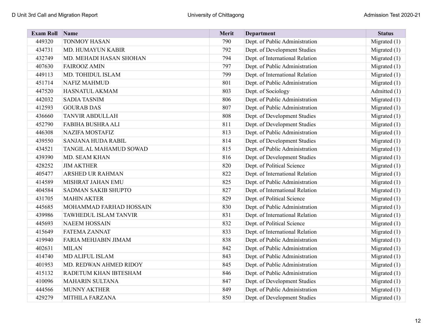| <b>Exam Roll</b> | Name                       | Merit | <b>Department</b>               | <b>Status</b>  |
|------------------|----------------------------|-------|---------------------------------|----------------|
| 449320           | <b>TONMOY HASAN</b>        | 790   | Dept. of Public Administration  | Migrated $(1)$ |
| 434731           | MD. HUMAYUN KABIR          | 792   | Dept. of Development Studies    | Migrated $(1)$ |
| 432749           | MD. MEHADI HASAN SHOHAN    | 794   | Dept. of International Relation | Migrated $(1)$ |
| 407630           | <b>FAIROOZ AMIN</b>        | 797   | Dept. of Public Administration  | Migrated $(1)$ |
| 449113           | MD. TOHIDUL ISLAM          | 799   | Dept. of International Relation | Migrated $(1)$ |
| 451714           | <b>NAFIZ MAHMUD</b>        | 801   | Dept. of Public Administration  | Migrated $(1)$ |
| 447520           | HASNATUL AKMAM             | 803   | Dept. of Sociology              | Admitted (1)   |
| 442032           | <b>SADIA TASNIM</b>        | 806   | Dept. of Public Administration  | Migrated $(1)$ |
| 412593           | <b>GOURAB DAS</b>          | 807   | Dept. of Public Administration  | Migrated $(1)$ |
| 436660           | <b>TANVIR ABDULLAH</b>     | 808   | Dept. of Development Studies    | Migrated $(1)$ |
| 452790           | <b>FABIHA BUSHRA ALI</b>   | 811   | Dept. of Development Studies    | Migrated $(1)$ |
| 446308           | <b>NAZIFA MOSTAFIZ</b>     | 813   | Dept. of Public Administration  | Migrated $(1)$ |
| 439550           | <b>SANJANA HUDA RABIL</b>  | 814   | Dept. of Development Studies    | Migrated $(1)$ |
| 434521           | TANGIL AL MAHAMUD SOWAD    | 815   | Dept. of Public Administration  | Migrated $(1)$ |
| 439390           | MD. SEAM KHAN              | 816   | Dept. of Development Studies    | Migrated $(1)$ |
| 428252           | <b>JIM AKTHER</b>          | 820   | Dept. of Political Science      | Migrated $(1)$ |
| 405477           | <b>ARSHED UR RAHMAN</b>    | 822   | Dept. of International Relation | Migrated $(1)$ |
| 414589           | MISHRAT JAHAN EMU          | 825   | Dept. of Public Administration  | Migrated $(1)$ |
| 404584           | <b>SADMAN SAKIB SHUPTO</b> | 827   | Dept. of International Relation | Migrated $(1)$ |
| 431705           | <b>MAHIN AKTER</b>         | 829   | Dept. of Political Science      | Migrated $(1)$ |
| 445685           | MOHAMMAD FARHAD HOSSAIN    | 830   | Dept. of Public Administration  | Migrated $(1)$ |
| 439986           | TAWHEDUL ISLAM TANVIR      | 831   | Dept. of International Relation | Migrated $(1)$ |
| 445693           | <b>NAEEM HOSSAIN</b>       | 832   | Dept. of Political Science      | Migrated $(1)$ |
| 415649           | <b>FATEMA ZANNAT</b>       | 833   | Dept. of International Relation | Migrated $(1)$ |
| 419940           | FARIA MEHJABIN JIMAM       | 838   | Dept. of Public Administration  | Migrated $(1)$ |
| 402631           | <b>MILAN</b>               | 842   | Dept. of Public Administration  | Migrated $(1)$ |
| 414740           | <b>MD ALIFUL ISLAM</b>     | 843   | Dept. of Public Administration  | Migrated $(1)$ |
| 401953           | MD. REDWAN AHMED RIDOY     | 845   | Dept. of Public Administration  | Migrated $(1)$ |
| 415132           | RADETUM KHAN IBTESHAM      | 846   | Dept. of Public Administration  | Migrated $(1)$ |
| 410096           | <b>MAHARIN SULTANA</b>     | 847   | Dept. of Development Studies    | Migrated $(1)$ |
| 444566           | <b>MUNNY AKTHER</b>        | 849   | Dept. of Public Administration  | Migrated $(1)$ |
| 429279           | MITHILA FARZANA            | 850   | Dept. of Development Studies    | Migrated $(1)$ |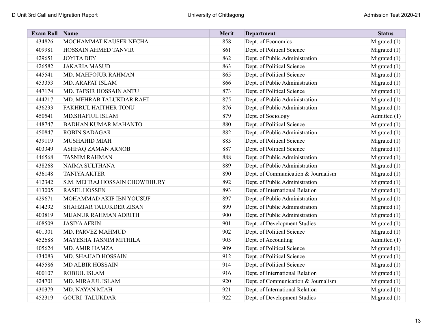| <b>Exam Roll</b> | Name                          | Merit | <b>Department</b>                   | <b>Status</b>  |
|------------------|-------------------------------|-------|-------------------------------------|----------------|
| 434826           | MOCHAMMAT KAUSER NECHA        | 858   | Dept. of Economics                  | Migrated $(1)$ |
| 409981           | HOSSAIN AHMED TANVIR          | 861   | Dept. of Political Science          | Migrated $(1)$ |
| 429651           | <b>JOYITA DEY</b>             | 862   | Dept. of Public Administration      | Migrated $(1)$ |
| 426582           | <b>JAKARIA MASUD</b>          | 863   | Dept. of Political Science          | Migrated (1)   |
| 445541           | MD. MAHFOJUR RAHMAN           | 865   | Dept. of Political Science          | Migrated $(1)$ |
| 453353           | MD. ARAFAT ISLAM              | 866   | Dept. of Public Administration      | Migrated (1)   |
| 447174           | MD. TAFSIR HOSSAIN ANTU       | 873   | Dept. of Political Science          | Migrated (1)   |
| 444217           | MD. MEHRAB TALUKDAR RAHI      | 875   | Dept. of Public Administration      | Migrated (1)   |
| 436233           | FAKHRUL HAITHER TONU          | 876   | Dept. of Public Administration      | Migrated $(1)$ |
| 450541           | MD.SHAFIUL ISLAM              | 879   | Dept. of Sociology                  | Admitted (1)   |
| 448747           | <b>BADHAN KUMAR MAHANTO</b>   | 880   | Dept. of Political Science          | Migrated (1)   |
| 450847           | <b>ROBIN SADAGAR</b>          | 882   | Dept. of Public Administration      | Migrated $(1)$ |
| 439119           | <b>MUSHAHID MIAH</b>          | 885   | Dept. of Political Science          | Migrated $(1)$ |
| 403349           | ASHFAQ ZAMAN ARNOB            | 887   | Dept. of Political Science          | Migrated (1)   |
| 446568           | <b>TASNIM RAHMAN</b>          | 888   | Dept. of Public Administration      | Migrated $(1)$ |
| 438268           | <b>NAIMA SULTHANA</b>         | 889   | Dept. of Public Administration      | Migrated $(1)$ |
| 436148           | <b>TANIYA AKTER</b>           | 890   | Dept. of Communication & Journalism | Migrated (1)   |
| 412342           | S.M. MEHRAJ HOSSAIN CHOWDHURY | 892   | Dept. of Public Administration      | Migrated $(1)$ |
| 413005           | <b>RASEL HOSSEN</b>           | 893   | Dept. of International Relation     | Migrated $(1)$ |
| 429671           | MOHAMMAD AKIF IBN YOUSUF      | 897   | Dept. of Public Administration      | Migrated $(1)$ |
| 414292           | SHAHZIAR TALUKDER ZISAN       | 899   | Dept. of Public Administration      | Migrated (1)   |
| 403819           | MIJANUR RAHMAN ADRITH         | 900   | Dept. of Public Administration      | Migrated (1)   |
| 408509           | <b>JASIYA AFRIN</b>           | 901   | Dept. of Development Studies        | Migrated $(1)$ |
| 401301           | MD. PARVEZ MAHMUD             | 902   | Dept. of Political Science          | Migrated $(1)$ |
| 452688           | MAYESHA TASNIM MITHILA        | 905   | Dept. of Accounting                 | Admitted (1)   |
| 405624           | MD. AMIR HAMZA                | 909   | Dept. of Political Science          | Migrated $(1)$ |
| 434083           | MD. SHAJJAD HOSSAIN           | 912   | Dept. of Political Science          | Migrated $(1)$ |
| 445586           | <b>MD ALBIR HOSSAIN</b>       | 914   | Dept. of Political Science          | Migrated $(1)$ |
| 400107           | <b>ROBIUL ISLAM</b>           | 916   | Dept. of International Relation     | Migrated (1)   |
| 424701           | MD. MIRAJUL ISLAM             | 920   | Dept. of Communication & Journalism | Migrated $(1)$ |
| 430379           | MD. NAYAN MIAH                | 921   | Dept. of International Relation     | Migrated $(1)$ |
| 452319           | <b>GOURI TALUKDAR</b>         | 922   | Dept. of Development Studies        | Migrated $(1)$ |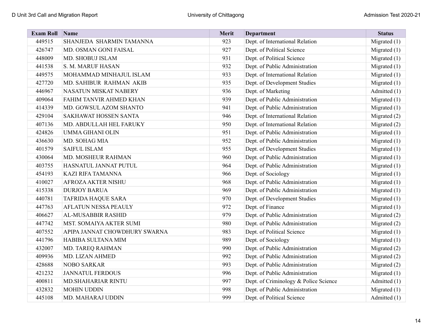| <b>Exam Roll</b> | Name                          | Merit | <b>Department</b>                     | <b>Status</b>  |
|------------------|-------------------------------|-------|---------------------------------------|----------------|
| 449515           | SHANJEDA SHARMIN TAMANNA      | 923   | Dept. of International Relation       | Migrated $(1)$ |
| 426747           | MD. OSMAN GONI FAISAL         | 927   | Dept. of Political Science            | Migrated $(1)$ |
| 448009           | MD. SHOBUJ ISLAM              | 931   | Dept. of Political Science            | Migrated $(1)$ |
| 441538           | S. M. MARUF HASAN             | 932   | Dept. of Public Administration        | Migrated $(1)$ |
| 449575           | MOHAMMAD MINHAJUL ISLAM       | 933   | Dept. of International Relation       | Migrated $(1)$ |
| 427720           | MD. SAHIBUR RAHMAN AKIB       | 935   | Dept. of Development Studies          | Migrated $(1)$ |
| 446967           | NASATUN MISKAT NABERY         | 936   | Dept. of Marketing                    | Admitted (1)   |
| 409064           | FAHIM TANVIR AHMED KHAN       | 939   | Dept. of Public Administration        | Migrated $(1)$ |
| 414339           | MD. GOWSUL AZOM SHANTO        | 941   | Dept. of Public Administration        | Migrated $(1)$ |
| 429104           | SAKHAWAT HOSSEN SANTA         | 946   | Dept. of International Relation       | Migrated (2)   |
| 407136           | MD. ABDULLAH HEL FARUKY       | 950   | Dept. of International Relation       | Migrated (2)   |
| 424826           | <b>UMMA GIHANI OLIN</b>       | 951   | Dept. of Public Administration        | Migrated $(1)$ |
| 436630           | MD. SOHAG MIA                 | 952   | Dept. of Public Administration        | Migrated (1)   |
| 401579           | <b>SAIFUL ISLAM</b>           | 955   | Dept. of Development Studies          | Migrated (1)   |
| 430064           | MD. MOSHEUR RAHMAN            | 960   | Dept. of Public Administration        | Migrated $(1)$ |
| 403755           | HASNATUL JANNAT PUTUL         | 964   | Dept. of Public Administration        | Migrated $(1)$ |
| 454193           | <b>KAZI RIFA TAMANNA</b>      | 966   | Dept. of Sociology                    | Migrated $(1)$ |
| 410027           | AFROZA AKTER NISHU            | 968   | Dept. of Public Administration        | Migrated $(1)$ |
| 415338           | <b>DURJOY BARUA</b>           | 969   | Dept. of Public Administration        | Migrated $(1)$ |
| 440781           | <b>TAFRIDA HAQUE SARA</b>     | 970   | Dept. of Development Studies          | Migrated $(1)$ |
| 447763           | AFLATUN NESSA PEAULY          | 972   | Dept. of Finance                      | Migrated $(1)$ |
| 406627           | AL-MUSABBIR RASHID            | 979   | Dept. of Public Administration        | Migrated (2)   |
| 447742           | MST. SOMAIYA AKTER SUMI       | 980   | Dept. of Public Administration        | Migrated (2)   |
| 407552           | APIPA JANNAT CHOWDHURY SWARNA | 983   | Dept. of Political Science            | Migrated $(1)$ |
| 441796           | HABIBA SULTANA MIM            | 989   | Dept. of Sociology                    | Migrated $(1)$ |
| 432007           | MD. TAREQ RAHMAN              | 990   | Dept. of Public Administration        | Migrated (2)   |
| 409936           | MD. LIZAN AHMED               | 992   | Dept. of Public Administration        | Migrated (2)   |
| 428688           | <b>NOBO SARKAR</b>            | 993   | Dept. of Public Administration        | Migrated (2)   |
| 421232           | <b>JANNATUL FERDOUS</b>       | 996   | Dept. of Public Administration        | Migrated $(1)$ |
| 400811           | MD.SHAHARIAR RINTU            | 997   | Dept. of Criminology & Police Science | Admitted (1)   |
| 432832           | <b>MOHIN UDDIN</b>            | 998   | Dept. of Public Administration        | Migrated $(1)$ |
| 445108           | MD. MAHARAJ UDDIN             | 999   | Dept. of Political Science            | Admitted (1)   |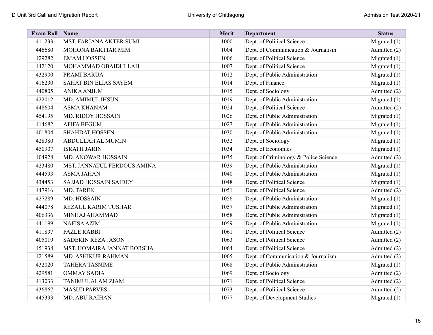| <b>Exam Roll</b> | Name                         | Merit | <b>Department</b>                     | <b>Status</b>  |
|------------------|------------------------------|-------|---------------------------------------|----------------|
| 411233           | MST. FARJANA AKTER SUMI      | 1000  | Dept. of Political Science            | Migrated $(1)$ |
| 446680           | MOHONA BAKTIAR MIM           | 1004  | Dept. of Communication & Journalism   | Admitted (2)   |
| 429282           | <b>EMAM HOSSEN</b>           | 1006  | Dept. of Political Science            | Migrated $(1)$ |
| 442120           | MOHAMMAD OBAIDULLAH          | 1007  | Dept. of Political Science            | Migrated $(1)$ |
| 432900           | PRAMI BARUA                  | 1012  | Dept. of Public Administration        | Migrated $(1)$ |
| 416230           | SAHAT BIN ELIAS SAYEM        | 1014  | Dept. of Finance                      | Migrated $(1)$ |
| 440805           | <b>ANIKA ANJUM</b>           | 1015  | Dept. of Sociology                    | Admitted (2)   |
| 422012           | MD. AMIMUL IHSUN             | 1019  | Dept. of Public Administration        | Migrated $(1)$ |
| 448604           | <b>ASMA KHANAM</b>           | 1024  | Dept. of Political Science            | Admitted (2)   |
| 454195           | MD. RIDOY HOSSAIN            | 1026  | Dept. of Public Administration        | Migrated $(1)$ |
| 414682           | <b>AFIFA BEGUM</b>           | 1027  | Dept. of Public Administration        | Migrated $(1)$ |
| 401804           | <b>SHAHDAT HOSSEN</b>        | 1030  | Dept. of Public Administration        | Migrated $(1)$ |
| 428380           | ABDULLAH AL MUMIN            | 1032  | Dept. of Sociology                    | Migrated $(1)$ |
| 450907           | <b>ISRATH JARIN</b>          | 1034  | Dept. of Economics                    | Migrated (1)   |
| 404928           | MD. ANOWAR HOSSAIN           | 1035  | Dept. of Criminology & Police Science | Admitted (2)   |
| 423480           | MST. JANNATUL FERDOUS AMINA  | 1039  | Dept. of Public Administration        | Migrated $(1)$ |
| 444593           | <b>ASMA JAHAN</b>            | 1040  | Dept. of Public Administration        | Migrated $(1)$ |
| 434453           | <b>SAJJAD HOSSAIN SAIDEY</b> | 1048  | Dept. of Political Science            | Migrated $(1)$ |
| 447916           | MD. TAREK                    | 1051  | Dept. of Political Science            | Admitted (2)   |
| 427289           | MD. HOSSAIN                  | 1056  | Dept. of Public Administration        | Migrated $(1)$ |
| 444078           | REZAUL KARIM TUSHAR          | 1057  | Dept. of Public Administration        | Migrated $(1)$ |
| 406336           | MINHAJ AHAMMAD               | 1058  | Dept. of Public Administration        | Migrated (1)   |
| 441199           | <b>NAFISA AZIM</b>           | 1059  | Dept. of Public Administration        | Migrated $(1)$ |
| 411837           | <b>FAZLE RABBI</b>           | 1061  | Dept. of Political Science            | Admitted (2)   |
| 405019           | <b>SADEKIN REZA JASON</b>    | 1063  | Dept. of Political Science            | Admitted (2)   |
| 451938           | MST. HOMAIRA JANNAT BORSHA   | 1064  | Dept. of Political Science            | Admitted (2)   |
| 421589           | MD. ASHIKUR RAHMAN           | 1065  | Dept. of Communication & Journalism   | Admitted (2)   |
| 432020           | <b>TAHERA TASNIME</b>        | 1068  | Dept. of Public Administration        | Migrated $(1)$ |
| 429581           | <b>OMMAY SADIA</b>           | 1069  | Dept. of Sociology                    | Admitted (2)   |
| 413033           | TANIMUL ALAM ZIAM            | 1071  | Dept. of Political Science            | Admitted (2)   |
| 436867           | <b>MASUD PARVES</b>          | 1073  | Dept. of Political Science            | Admitted (2)   |
| 445393           | <b>MD. ABU RAIHAN</b>        | 1077  | Dept. of Development Studies          | Migrated $(1)$ |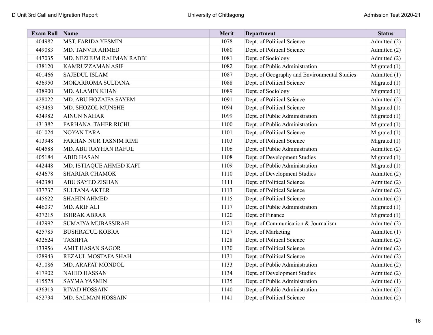| <b>Exam Roll Name</b> |                         | Merit | <b>Department</b>                            | <b>Status</b>  |
|-----------------------|-------------------------|-------|----------------------------------------------|----------------|
| 404982                | MST. FARIDA YESMIN      | 1078  | Dept. of Political Science                   | Admitted (2)   |
| 449083                | MD. TANVIR AHMED        | 1080  | Dept. of Political Science                   | Admitted (2)   |
| 447035                | MD. NEZHUM RAHMAN RABBI | 1081  | Dept. of Sociology                           | Admitted (2)   |
| 438120                | KAMRUZZAMAN ASIF        | 1082  | Dept. of Public Administration               | Migrated $(1)$ |
| 401466                | <b>SAJEDUL ISLAM</b>    | 1087  | Dept. of Geography and Environmental Studies | Admitted (1)   |
| 436950                | MOKARROMA SULTANA       | 1088  | Dept. of Political Science                   | Migrated $(1)$ |
| 438900                | MD. ALAMIN KHAN         | 1089  | Dept. of Sociology                           | Migrated $(1)$ |
| 428022                | MD. ABU HOZAIFA SAYEM   | 1091  | Dept. of Political Science                   | Admitted (2)   |
| 453463                | MD. SHOZOL MUNSHE       | 1094  | Dept. of Political Science                   | Migrated (1)   |
| 434982                | <b>AINUN NAHAR</b>      | 1099  | Dept. of Public Administration               | Migrated (1)   |
| 431382                | FARHANA TAHER RICHI     | 1100  | Dept. of Public Administration               | Migrated $(1)$ |
| 401024                | <b>NOYAN TARA</b>       | 1101  | Dept. of Political Science                   | Migrated $(1)$ |
| 413948                | FARHAN NUR TASNIM RIMI  | 1103  | Dept. of Political Science                   | Migrated $(1)$ |
| 404588                | MD. ABU RAYHAN RAFUL    | 1106  | Dept. of Public Administration               | Admitted (2)   |
| 405184                | <b>ABID HASAN</b>       | 1108  | Dept. of Development Studies                 | Migrated $(1)$ |
| 442448                | MD. ISTIAQUE AHMED KAFI | 1109  | Dept. of Public Administration               | Migrated $(1)$ |
| 434678                | <b>SHARIAR CHAMOK</b>   | 1110  | Dept. of Development Studies                 | Admitted (2)   |
| 442380                | ABU SAYED ZISHAN        | 1111  | Dept. of Political Science                   | Admitted (2)   |
| 437737                | <b>SULTANA AKTER</b>    | 1113  | Dept. of Political Science                   | Admitted (2)   |
| 445622                | <b>SHAHIN AHMED</b>     | 1115  | Dept. of Political Science                   | Admitted (2)   |
| 446037                | MD. ARIF ALI            | 1117  | Dept. of Public Administration               | Migrated $(1)$ |
| 437215                | <b>ISHRAK ABRAR</b>     | 1120  | Dept. of Finance                             | Migrated $(1)$ |
| 442992                | SUMAIYA MUBASSIRAH      | 1121  | Dept. of Communication & Journalism          | Admitted (2)   |
| 425785                | <b>BUSHRATUL KOBRA</b>  | 1127  | Dept. of Marketing                           | Admitted (1)   |
| 432624                | <b>TASHFIA</b>          | 1128  | Dept. of Political Science                   | Admitted (2)   |
| 433956                | <b>AMIT HASAN SAGOR</b> | 1130  | Dept. of Political Science                   | Admitted (2)   |
| 428943                | REZAUL MOSTAFA SHAH     | 1131  | Dept. of Political Science                   | Admitted (2)   |
| 431086                | MD. ARAFAT MONDOL       | 1133  | Dept. of Public Administration               | Admitted (2)   |
| 417902                | <b>NAHID HASSAN</b>     | 1134  | Dept. of Development Studies                 | Admitted (2)   |
| 415578                | <b>SAYMA YASMIN</b>     | 1135  | Dept. of Public Administration               | Admitted (1)   |
| 436313                | <b>RIYAD HOSSAIN</b>    | 1140  | Dept. of Public Administration               | Admitted (2)   |
| 452734                | MD. SALMAN HOSSAIN      | 1141  | Dept. of Political Science                   | Admitted (2)   |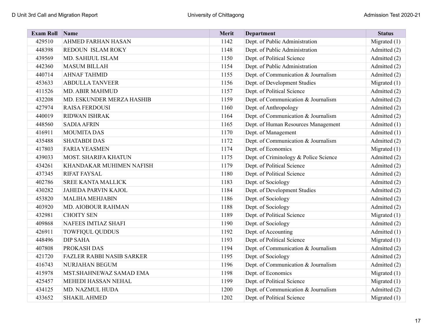| <b>Exam Roll</b> | Name                             | Merit | <b>Department</b>                     | <b>Status</b>  |
|------------------|----------------------------------|-------|---------------------------------------|----------------|
| 429510           | AHMED FARHAN HASAN               | 1142  | Dept. of Public Administration        | Migrated $(1)$ |
| 448398           | REDOUN ISLAM ROKY                | 1148  | Dept. of Public Administration        | Admitted (2)   |
| 439569           | MD. SAHIJUL ISLAM                | 1150  | Dept. of Political Science            | Admitted (2)   |
| 442360           | <b>MASUM BILLAH</b>              | 1154  | Dept. of Public Administration        | Admitted (2)   |
| 440714           | <b>AHNAF TAHMID</b>              | 1155  | Dept. of Communication & Journalism   | Admitted (2)   |
| 453633           | <b>ABDULLA TANVEER</b>           | 1156  | Dept. of Development Studies          | Migrated $(1)$ |
| 411526           | MD. ABIR MAHMUD                  | 1157  | Dept. of Political Science            | Admitted (2)   |
| 432208           | MD. ESKUNDER MERZA HASHIB        | 1159  | Dept. of Communication & Journalism   | Admitted (2)   |
| 427974           | <b>RAISA FERDOUSI</b>            | 1160  | Dept. of Anthropology                 | Admitted (2)   |
| 440019           | <b>RIDWAN ISHRAK</b>             | 1164  | Dept. of Communication & Journalism   | Admitted (2)   |
| 448560           | <b>SADIA AFRIN</b>               | 1165  | Dept. of Human Resources Management   | Admitted (1)   |
| 416911           | <b>MOUMITA DAS</b>               | 1170  | Dept. of Management                   | Admitted (1)   |
| 435488           | <b>SHATABDI DAS</b>              | 1172  | Dept. of Communication & Journalism   | Admitted (2)   |
| 417803           | <b>FARIA YEASMEN</b>             | 1174  | Dept. of Economics                    | Migrated $(1)$ |
| 439033           | <b>MOST. SHARIFA KHATUN</b>      | 1175  | Dept. of Criminology & Police Science | Admitted (2)   |
| 434261           | KHANDAKAR MUHIMEN NAFISH         | 1179  | Dept. of Political Science            | Admitted (2)   |
| 437345           | <b>RIFAT FAYSAL</b>              | 1180  | Dept. of Political Science            | Admitted (2)   |
| 402786           | <b>SREE KANTA MALLICK</b>        | 1183  | Dept. of Sociology                    | Admitted (2)   |
| 430282           | JAHEDA PARVIN KAJOL              | 1184  | Dept. of Development Studies          | Admitted (2)   |
| 453820           | <b>MALIHA MEHJABIN</b>           | 1186  | Dept. of Sociology                    | Admitted (2)   |
| 403920           | MD. AIOBOUR RAHMAN               | 1188  | Dept. of Sociology                    | Admitted (2)   |
| 432981           | <b>CHOITY SEN</b>                | 1189  | Dept. of Political Science            | Migrated $(1)$ |
| 409868           | <b>NAFEES IMTIAZ SHAFI</b>       | 1190  | Dept. of Sociology                    | Admitted (2)   |
| 426911           | <b>TOWFIQUL QUDDUS</b>           | 1192  | Dept. of Accounting                   | Admitted (1)   |
| 448496           | <b>DIP SAHA</b>                  | 1193  | Dept. of Political Science            | Migrated $(1)$ |
| 407808           | PROKASH DAS                      | 1194  | Dept. of Communication & Journalism   | Admitted (2)   |
| 421720           | <b>FAZLER RABBI NASIB SARKER</b> | 1195  | Dept. of Sociology                    | Admitted (2)   |
| 416743           | NURJAHAN BEGUM                   | 1196  | Dept. of Communication & Journalism   | Admitted (2)   |
| 415978           | MST.SHAHNEWAZ SAMAD EMA          | 1198  | Dept. of Economics                    | Migrated $(1)$ |
| 425457           | MEHEDI HASSAN NEHAL              | 1199  | Dept. of Political Science            | Migrated $(1)$ |
| 434125           | MD. NAZMUL HUDA                  | 1200  | Dept. of Communication & Journalism   | Admitted (2)   |
| 433652           | <b>SHAKIL AHMED</b>              | 1202  | Dept. of Political Science            | Migrated $(1)$ |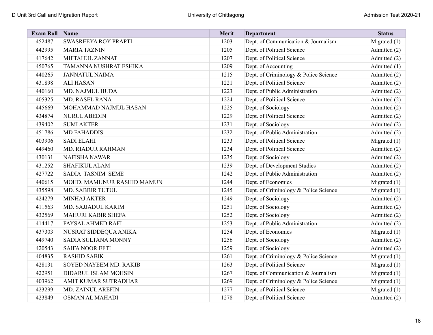| <b>Exam Roll</b> | Name                       | Merit | <b>Department</b>                     | <b>Status</b>  |
|------------------|----------------------------|-------|---------------------------------------|----------------|
| 452487           | SWASREEYA ROY PRAPTI       | 1203  | Dept. of Communication & Journalism   | Migrated (1)   |
| 442995           | <b>MARIA TAZNIN</b>        | 1205  | Dept. of Political Science            | Admitted (2)   |
| 417642           | MIFTAHUL ZANNAT            | 1207  | Dept. of Political Science            | Admitted (2)   |
| 450765           | TAMANNA NUSHRAT ESHIKA     | 1209  | Dept. of Accounting                   | Admitted (1)   |
| 440265           | <b>JANNATUL NAIMA</b>      | 1215  | Dept. of Criminology & Police Science | Admitted (2)   |
| 431898           | <b>ALI HASAN</b>           | 1221  | Dept. of Political Science            | Admitted (2)   |
| 440160           | MD. NAJMUL HUDA            | 1223  | Dept. of Public Administration        | Admitted (2)   |
| 405325           | <b>MD. RASEL RANA</b>      | 1224  | Dept. of Political Science            | Admitted (2)   |
| 445669           | MOHAMMAD NAJMUL HASAN      | 1225  | Dept. of Sociology                    | Admitted (2)   |
| 434874           | <b>NURUL ABEDIN</b>        | 1229  | Dept. of Political Science            | Admitted (2)   |
| 439402           | <b>SUMI AKTER</b>          | 1231  | Dept. of Sociology                    | Admitted (2)   |
| 451786           | <b>MD FAHADDIS</b>         | 1232  | Dept. of Public Administration        | Admitted (2)   |
| 403906           | <b>SADI ELAHI</b>          | 1233  | Dept. of Political Science            | Migrated $(1)$ |
| 449460           | <b>MD. RIADUR RAHMAN</b>   | 1234  | Dept. of Political Science            | Admitted (2)   |
| 430131           | <b>NAFISHA NAWAR</b>       | 1235  | Dept. of Sociology                    | Admitted (2)   |
| 431252           | <b>SHAFIKUL ALAM</b>       | 1239  | Dept. of Development Studies          | Admitted (2)   |
| 427722           | SADIA TASNIM SEME          | 1242  | Dept. of Public Administration        | Admitted (2)   |
| 440615           | MOHD. MAMUNUR RASHID MAMUN | 1244  | Dept. of Economics                    | Migrated $(1)$ |
| 435598           | MD. SABBIR TUTUL           | 1245  | Dept. of Criminology & Police Science | Migrated $(1)$ |
| 424279           | <b>MINHAJ AKTER</b>        | 1249  | Dept. of Sociology                    | Admitted (2)   |
| 411563           | MD. SAJJADUL KARIM         | 1251  | Dept. of Sociology                    | Admitted (2)   |
| 432569           | <b>MAHURI KABIR SHEFA</b>  | 1252  | Dept. of Sociology                    | Admitted (2)   |
| 414417           | <b>FAYSAL AHMED RAFI</b>   | 1253  | Dept. of Public Administration        | Admitted (2)   |
| 437303           | NUSRAT SIDDEQUA ANIKA      | 1254  | Dept. of Economics                    | Migrated $(1)$ |
| 449740           | SADIA SULTANA MONNY        | 1256  | Dept. of Sociology                    | Admitted (2)   |
| 420543           | <b>SAIFA NOOR EFTI</b>     | 1259  | Dept. of Sociology                    | Admitted (2)   |
| 404835           | <b>RASHID SABIK</b>        | 1261  | Dept. of Criminology & Police Science | Migrated $(1)$ |
| 428131           | SOYED NAYEEM MD. RAKIB     | 1263  | Dept. of Political Science            | Migrated $(1)$ |
| 422951           | DIDARUL ISLAM MOHSIN       | 1267  | Dept. of Communication & Journalism   | Migrated $(1)$ |
| 403962           | AMIT KUMAR SUTRADHAR       | 1269  | Dept. of Criminology & Police Science | Migrated (1)   |
| 423299           | MD. ZAINUL AREFIN          | 1277  | Dept. of Political Science            | Migrated $(1)$ |
| 423849           | OSMAN AL MAHADI            | 1278  | Dept. of Political Science            | Admitted (2)   |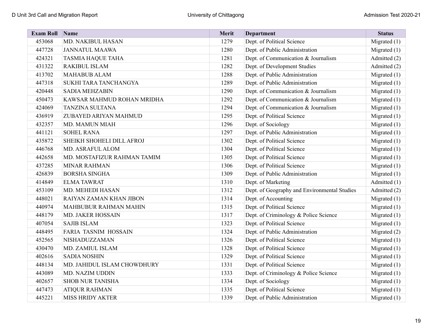| <b>Exam Roll</b> | Name                         | Merit | <b>Department</b>                            | <b>Status</b>  |
|------------------|------------------------------|-------|----------------------------------------------|----------------|
| 453068           | MD. NAKIBUL HASAN            | 1279  | Dept. of Political Science                   | Migrated (1)   |
| 447728           | <b>JANNATUL MAAWA</b>        | 1280  | Dept. of Public Administration               | Migrated $(1)$ |
| 424321           | <b>TASMIA HAQUE TAHA</b>     | 1281  | Dept. of Communication & Journalism          | Admitted (2)   |
| 431322           | <b>RAKIBUL ISLAM</b>         | 1282  | Dept. of Development Studies                 | Admitted (2)   |
| 413702           | <b>MAHABUB ALAM</b>          | 1288  | Dept. of Public Administration               | Migrated $(1)$ |
| 447318           | SUKHI TARA TANCHANGYA        | 1289  | Dept. of Public Administration               | Migrated $(1)$ |
| 420448           | <b>SADIA MEHZABIN</b>        | 1290  | Dept. of Communication & Journalism          | Migrated (1)   |
| 450473           | KAWSAR MAHMUD ROHAN MRIDHA   | 1292  | Dept. of Communication & Journalism          | Migrated $(1)$ |
| 424069           | <b>TANZINA SULTANA</b>       | 1294  | Dept. of Communication & Journalism          | Migrated $(1)$ |
| 436919           | ZUBAYED ARIYAN MAHMUD        | 1295  | Dept. of Political Science                   | Migrated $(1)$ |
| 432357           | MD. MAMUN MIAH               | 1296  | Dept. of Sociology                           | Migrated (1)   |
| 441121           | <b>SOHEL RANA</b>            | 1297  | Dept. of Public Administration               | Migrated $(1)$ |
| 435872           | SHEIKH SHOHELI DILL AFROJ    | 1302  | Dept. of Political Science                   | Migrated (1)   |
| 446768           | MD. ASRAFUL ALOM             | 1304  | Dept. of Political Science                   | Migrated (1)   |
| 442658           | MD. MOSTAFIZUR RAHMAN TAMIM  | 1305  | Dept. of Political Science                   | Migrated (1)   |
| 437285           | <b>MINAR RAHMAN</b>          | 1306  | Dept. of Political Science                   | Migrated $(1)$ |
| 426839           | <b>BORSHA SINGHA</b>         | 1309  | Dept. of Public Administration               | Migrated $(1)$ |
| 414849           | <b>ELMATAWRAT</b>            | 1310  | Dept. of Marketing                           | Admitted (1)   |
| 453109           | MD. MEHEDI HASAN             | 1312  | Dept. of Geography and Environmental Studies | Admitted (2)   |
| 448021           | RAIYAN ZAMAN KHAN JIBON      | 1314  | Dept. of Accounting                          | Migrated $(1)$ |
| 440974           | <b>MAHBUBUR RAHMAN MAHIN</b> | 1315  | Dept. of Political Science                   | Migrated $(1)$ |
| 448179           | MD. JAKER HOSSAIN            | 1317  | Dept. of Criminology & Police Science        | Migrated (1)   |
| 407054           | <b>SAJIB ISLAM</b>           | 1323  | Dept. of Political Science                   | Migrated $(1)$ |
| 448495           | FARIA TASNIM HOSSAIN         | 1324  | Dept. of Public Administration               | Migrated (2)   |
| 452565           | NISHADUZZAMAN                | 1326  | Dept. of Political Science                   | Migrated $(1)$ |
| 430470           | MD. ZAMIUL ISLAM             | 1328  | Dept. of Political Science                   | Migrated (1)   |
| 402616           | <b>SADIA NOSHIN</b>          | 1329  | Dept. of Political Science                   | Migrated $(1)$ |
| 448134           | MD. JAHIDUL ISLAM CHOWDHURY  | 1331  | Dept. of Political Science                   | Migrated $(1)$ |
| 443089           | MD. NAZIM UDDIN              | 1333  | Dept. of Criminology & Police Science        | Migrated (1)   |
| 402657           | <b>SHOB NUR TANISHA</b>      | 1334  | Dept. of Sociology                           | Migrated $(1)$ |
| 447473           | <b>ATIQUR RAHMAN</b>         | 1335  | Dept. of Political Science                   | Migrated $(1)$ |
| 445221           | MISS HRIDY AKTER             | 1339  | Dept. of Public Administration               | Migrated $(1)$ |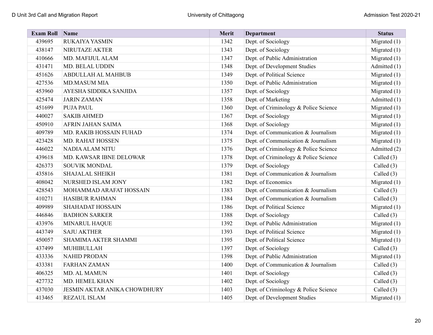| <b>Exam Roll</b> | Name                                | Merit | <b>Department</b>                     | <b>Status</b>  |
|------------------|-------------------------------------|-------|---------------------------------------|----------------|
| 439695           | RUKAIYA YASMIN                      | 1342  | Dept. of Sociology                    | Migrated (1)   |
| 438147           | NIRUTAZE AKTER                      | 1343  | Dept. of Sociology                    | Migrated $(1)$ |
| 410666           | MD. MAFIJUL ALAM                    | 1347  | Dept. of Public Administration        | Migrated $(1)$ |
| 431471           | MD. BELAL UDDIN                     | 1348  | Dept. of Development Studies          | Admitted (1)   |
| 451626           | ABDULLAH AL MAHBUB                  | 1349  | Dept. of Political Science            | Migrated $(1)$ |
| 427536           | <b>MD.MASUM MIA</b>                 | 1350  | Dept. of Public Administration        | Migrated $(1)$ |
| 453960           | AYESHA SIDDIKA SANJIDA              | 1357  | Dept. of Sociology                    | Migrated $(1)$ |
| 425474           | <b>JARIN ZAMAN</b>                  | 1358  | Dept. of Marketing                    | Admitted (1)   |
| 451699           | <b>PUJA PAUL</b>                    | 1360  | Dept. of Criminology & Police Science | Migrated (1)   |
| 440027           | <b>SAKIB AHMED</b>                  | 1367  | Dept. of Sociology                    | Migrated $(1)$ |
| 450910           | AFRIN JAHAN SAIMA                   | 1368  | Dept. of Sociology                    | Migrated $(1)$ |
| 409789           | MD. RAKIB HOSSAIN FUHAD             | 1374  | Dept. of Communication & Journalism   | Migrated $(1)$ |
| 423428           | MD. RAHAT HOSSEN                    | 1375  | Dept. of Communication & Journalism   | Migrated $(1)$ |
| 446022           | <b>NADIA ALAM NITU</b>              | 1376  | Dept. of Criminology & Police Science | Admitted (2)   |
| 439618           | MD. KAWSAR IBNE DELOWAR             | 1378  | Dept. of Criminology & Police Science | Called $(3)$   |
| 426373           | SOUVIK MONDAL                       | 1379  | Dept. of Sociology                    | Called (3)     |
| 435816           | <b>SHAJALAL SHEIKH</b>              | 1381  | Dept. of Communication & Journalism   | Called (3)     |
| 408042           | NURSHED ISLAM JONY                  | 1382  | Dept. of Economics                    | Migrated (1)   |
| 428543           | MOHAMMAD ARAFAT HOSSAIN             | 1383  | Dept. of Communication & Journalism   | Called (3)     |
| 410271           | <b>HASIBUR RAHMAN</b>               | 1384  | Dept. of Communication & Journalism   | Called (3)     |
| 409989           | <b>SHAHADAT HOSSAIN</b>             | 1386  | Dept. of Political Science            | Migrated $(1)$ |
| 446846           | <b>BADHON SARKER</b>                | 1388  | Dept. of Sociology                    | Called $(3)$   |
| 433976           | MINARUL HAQUE                       | 1392  | Dept. of Public Administration        | Migrated $(1)$ |
| 443749           | <b>SAJU AKTHER</b>                  | 1393  | Dept. of Political Science            | Migrated (1)   |
| 450057           | SHAMIMA AKTER SHAMMI                | 1395  | Dept. of Political Science            | Migrated $(1)$ |
| 437499           | MUHIBULLAH                          | 1397  | Dept. of Sociology                    | Called (3)     |
| 433336           | <b>NAHID PRODAN</b>                 | 1398  | Dept. of Public Administration        | Migrated $(1)$ |
| 433381           | <b>FARHAN ZAMAN</b>                 | 1400  | Dept. of Communication & Journalism   | Called (3)     |
| 406325           | MD. AL MAMUN                        | 1401  | Dept. of Sociology                    | Called $(3)$   |
| 427732           | MD. HEMEL KHAN                      | 1402  | Dept. of Sociology                    | Called (3)     |
| 437030           | <b>JESMIN AKTAR ANIKA CHOWDHURY</b> | 1403  | Dept. of Criminology & Police Science | Called $(3)$   |
| 413465           | <b>REZAUL ISLAM</b>                 | 1405  | Dept. of Development Studies          | Migrated $(1)$ |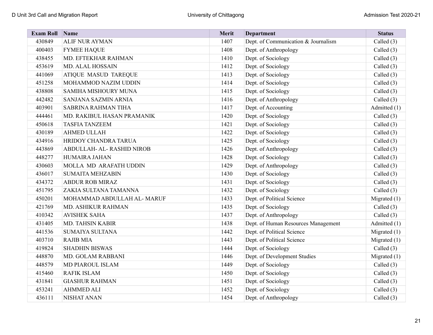| <b>Exam Roll</b> | $\sum_{ }$ Name             | Merit | <b>Department</b>                   | <b>Status</b>  |
|------------------|-----------------------------|-------|-------------------------------------|----------------|
| 430849           | ALIF NUR AYMAN              | 1407  | Dept. of Communication & Journalism | Called (3)     |
| 400403           | <b>FYMEE HAQUE</b>          | 1408  | Dept. of Anthropology               | Called (3)     |
| 438455           | MD. EFTEKHAR RAHMAN         | 1410  | Dept. of Sociology                  | Called (3)     |
| 453619           | MD. ALAL HOSSAIN            | 1412  | Dept. of Sociology                  | Called (3)     |
| 441069           | ATIQUE MASUD TAREQUE        | 1413  | Dept. of Sociology                  | Called $(3)$   |
| 451258           | MOHAMMOD NAZIM UDDIN        | 1414  | Dept. of Sociology                  | Called $(3)$   |
| 438808           | SAMIHA MISHOURY MUNA        | 1415  | Dept. of Sociology                  | Called $(3)$   |
| 442482           | SANJANA SAZMIN ARNIA        | 1416  | Dept. of Anthropology               | Called (3)     |
| 403901           | SABRINA RAHMAN TIHA         | 1417  | Dept. of Accounting                 | Admitted (1)   |
| 444461           | MD. RAKIBUL HASAN PRAMANIK  | 1420  | Dept. of Sociology                  | Called (3)     |
| 450618           | <b>TASFIA TANZEEM</b>       | 1421  | Dept. of Sociology                  | Called $(3)$   |
| 430189           | <b>AHMED ULLAH</b>          | 1422  | Dept. of Sociology                  | Called (3)     |
| 434916           | HRIDOY CHANDRA TARUA        | 1425  | Dept. of Sociology                  | Called $(3)$   |
| 443869           | ABDULLAH- AL-RASHID NIROB   | 1426  | Dept. of Anthropology               | Called $(3)$   |
| 448277           | <b>HUMAIRA JAHAN</b>        | 1428  | Dept. of Sociology                  | Called $(3)$   |
| 430603           | MOLLA MD ARAFATH UDDIN      | 1429  | Dept. of Anthropology               | Called $(3)$   |
| 436017           | <b>SUMAITA MEHZABIN</b>     | 1430  | Dept. of Sociology                  | Called $(3)$   |
| 434372           | <b>ABDUR ROB MIRAZ</b>      | 1431  | Dept. of Sociology                  | Called (3)     |
| 451795           | ZAKIA SULTANA TAMANNA       | 1432  | Dept. of Sociology                  | Called (3)     |
| 450201           | MOHAMMAD ABDULLAH AL- MARUF | 1433  | Dept. of Political Science          | Migrated (1)   |
| 421769           | MD. ASHIKUR RAHMAN          | 1435  | Dept. of Sociology                  | Called $(3)$   |
| 410342           | <b>AVISHEK SAHA</b>         | 1437  | Dept. of Anthropology               | Called $(3)$   |
| 431405           | MD. TAHSIN KABIR            | 1438  | Dept. of Human Resources Management | Admitted (1)   |
| 441536           | <b>SUMAIYA SULTANA</b>      | 1442  | Dept. of Political Science          | Migrated $(1)$ |
| 403710           | <b>RAJIB MIA</b>            | 1443  | Dept. of Political Science          | Migrated $(1)$ |
| 419824           | <b>SHADHIN BISWAS</b>       | 1444  | Dept. of Sociology                  | Called $(3)$   |
| 448870           | MD. GOLAM RABBANI           | 1446  | Dept. of Development Studies        | Migrated (1)   |
| 448579           | MD PIAROUL ISLAM            | 1449  | Dept. of Sociology                  | Called $(3)$   |
| 415460           | <b>RAFIK ISLAM</b>          | 1450  | Dept. of Sociology                  | Called (3)     |
| 431841           | <b>GIASHUR RAHMAN</b>       | 1451  | Dept. of Sociology                  | Called (3)     |
| 453241           | <b>AHMMED ALI</b>           | 1452  | Dept. of Sociology                  | Called $(3)$   |
| 436111           | NISHAT ANAN                 | 1454  | Dept. of Anthropology               | Called $(3)$   |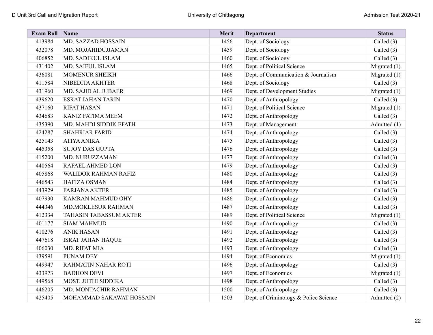| <b>Exam Roll</b> | Name                        | Merit | <b>Department</b>                     | <b>Status</b>  |
|------------------|-----------------------------|-------|---------------------------------------|----------------|
| 413984           | MD. SAZZAD HOSSAIN          | 1456  | Dept. of Sociology                    | Called (3)     |
| 432078           | MD. MOJAHIDUJJAMAN          | 1459  | Dept. of Sociology                    | Called (3)     |
| 406852           | MD. SADIKUL ISLAM           | 1460  | Dept. of Sociology                    | Called $(3)$   |
| 431402           | MD. SAIFUL ISLAM            | 1465  | Dept. of Political Science            | Migrated (1)   |
| 436081           | MOMENUR SHEIKH              | 1466  | Dept. of Communication & Journalism   | Migrated $(1)$ |
| 411584           | NIBEDITA AKHTER             | 1468  | Dept. of Sociology                    | Called (3)     |
| 431960           | MD. SAJID AL JUBAER         | 1469  | Dept. of Development Studies          | Migrated (1)   |
| 439620           | <b>ESRAT JAHAN TARIN</b>    | 1470  | Dept. of Anthropology                 | Called $(3)$   |
| 437160           | <b>RIFAT HASAN</b>          | 1471  | Dept. of Political Science            | Migrated (1)   |
| 434683           | <b>KANIZ FATIMA MEEM</b>    | 1472  | Dept. of Anthropology                 | Called $(3)$   |
| 435390           | MD. MAHDI SIDDIK EFATH      | 1473  | Dept. of Management                   | Admitted (1)   |
| 424287           | <b>SHAHRIAR FARID</b>       | 1474  | Dept. of Anthropology                 | Called $(3)$   |
| 425143           | <b>ATIYA ANIKA</b>          | 1475  | Dept. of Anthropology                 | Called (3)     |
| 445358           | <b>SUJOY DAS GUPTA</b>      | 1476  | Dept. of Anthropology                 | Called (3)     |
| 415200           | MD. NURUZZAMAN              | 1477  | Dept. of Anthropology                 | Called (3)     |
| 440564           | RAFAEL AHMED LON            | 1479  | Dept. of Anthropology                 | Called (3)     |
| 405868           | <b>WALIDOR RAHMAN RAFIZ</b> | 1480  | Dept. of Anthropology                 | Called (3)     |
| 446543           | <b>HAFIZA OSMAN</b>         | 1484  | Dept. of Anthropology                 | Called (3)     |
| 443929           | <b>FARJANA AKTER</b>        | 1485  | Dept. of Anthropology                 | Called $(3)$   |
| 407930           | KAMRAN MAHMUD OHY           | 1486  | Dept. of Anthropology                 | Called (3)     |
| 444346           | <b>MD.MOKLESUR RAHMAN</b>   | 1487  | Dept. of Anthropology                 | Called (3)     |
| 412334           | TAHASIN TABASSUM AKTER      | 1489  | Dept. of Political Science            | Migrated (1)   |
| 401177           | <b>SIAM MAHMUD</b>          | 1490  | Dept. of Anthropology                 | Called $(3)$   |
| 410276           | <b>ANIK HASAN</b>           | 1491  | Dept. of Anthropology                 | Called (3)     |
| 447618           | <b>ISRAT JAHAN HAQUE</b>    | 1492  | Dept. of Anthropology                 | Called (3)     |
| 406030           | MD. RIFAT MIA               | 1493  | Dept. of Anthropology                 | Called (3)     |
| 439591           | PUNAM DEY                   | 1494  | Dept. of Economics                    | Migrated (1)   |
| 449947           | RAHMATIN NAHAR ROTI         | 1496  | Dept. of Anthropology                 | Called $(3)$   |
| 433973           | <b>BADHON DEVI</b>          | 1497  | Dept. of Economics                    | Migrated (1)   |
| 449568           | MOST. JUTHI SIDDIKA         | 1498  | Dept. of Anthropology                 | Called $(3)$   |
| 446205           | MD. MONTACHIR RAHMAN        | 1500  | Dept. of Anthropology                 | Called $(3)$   |
| 425405           | MOHAMMAD SAKAWAT HOSSAIN    | 1503  | Dept. of Criminology & Police Science | Admitted (2)   |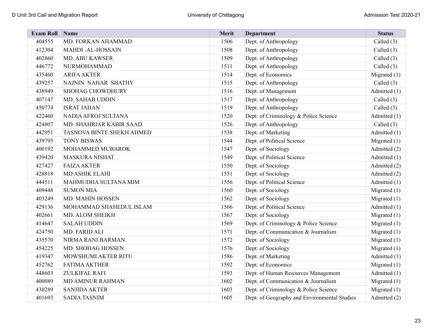| <b>Exam Roll</b> | Name                      | Merit | <b>Department</b>                            | <b>Status</b>  |
|------------------|---------------------------|-------|----------------------------------------------|----------------|
| 404555           | MD. FORKAN AHAMMAD        | 1506  | Dept. of Anthropology                        | Called (3)     |
| 412304           | <b>MAHDI-AL-HOSSAIN</b>   | 1508  | Dept. of Anthropology                        | Called $(3)$   |
| 402860           | <b>MD. ABU KAWSER</b>     | 1509  | Dept. of Anthropology                        | Called (3)     |
| 446772           | NURMOHAMMAD               | 1511  | Dept. of Anthropology                        | Called $(3)$   |
| 435460           | <b>ARIFA AKTER</b>        | 1514  | Dept. of Economics                           | Migrated $(1)$ |
| 439257           | NAJNIN NAHAR SHATHY       | 1515  | Dept. of Anthropology                        | Called $(3)$   |
| 438949           | <b>SHOHAG CHOWDHURY</b>   | 1516  | Dept. of Management                          | Admitted (1)   |
| 407147           | MD. SAHAB UDDIN           | 1517  | Dept. of Anthropology                        | Called $(3)$   |
| 450774           | <b>ISRAT JAHAN</b>        | 1519  | Dept. of Anthropology                        | Called $(3)$   |
| 422460           | NADIA AFROJ SULTANA       | 1520  | Dept. of Criminology & Police Science        | Admitted (1)   |
| 424807           | MD. SHAHRIAR KABIR SAAD   | 1526  | Dept. of Anthropology                        | Called $(3)$   |
| 442951           | TASNOVA BINTE SHEKH AHMED | 1538  | Dept. of Marketing                           | Admitted (1)   |
| 439795           | <b>TONY BISWAS</b>        | 1544  | Dept. of Political Science                   | Migrated $(1)$ |
| 400192           | MOHAMMED MUBAROK          | 1547  | Dept. of Sociology                           | Admitted (2)   |
| 439420           | <b>MASKURA NISHAT</b>     | 1549  | Dept. of Political Science                   | Admitted (1)   |
| 427427           | <b>FAIZA AKTER</b>        | 1550  | Dept. of Sociology                           | Admitted (2)   |
| 428818           | <b>MD ASHIK ELAHI</b>     | 1551  | Dept. of Sociology                           | Admitted (2)   |
| 444511           | MAHMUDHA SULTANA MIM      | 1556  | Dept. of Political Science                   | Admitted (1)   |
| 409448           | <b>SUMON MIA</b>          | 1560  | Dept. of Sociology                           | Migrated $(1)$ |
| 403249           | MD. MAHIN HOSSEN          | 1562  | Dept. of Sociology                           | Migrated $(1)$ |
| 429136           | MOHAMMAD SHAHEDUL ISLAM   | 1566  | Dept. of Political Science                   | Admitted (1)   |
| 402661           | MD. ALOM SHEIKH           | 1567  | Dept. of Sociology                           | Migrated (1)   |
| 414647           | <b>SALAH UDDIN</b>        | 1569  | Dept. of Criminology & Police Science        | Migrated $(1)$ |
| 424750           | MD. FARID ALI             | 1571  | Dept. of Communication & Journalism          | Migrated $(1)$ |
| 435570           | NIRMA RANI BARMAN         | 1572  | Dept. of Sociology                           | Migrated (1)   |
| 454225           | MD. SHOHAG HOSSEN         | 1576  | Dept. of Sociology                           | Migrated $(1)$ |
| 419347           | MOWSHUMI AKTER RITU       | 1586  | Dept. of Marketing                           | Admitted (1)   |
| 452762           | <b>FATIMA AKTHER</b>      | 1592  | Dept. of Economics                           | Migrated $(1)$ |
| 448603           | ZULKIFAL RAFI             | 1593  | Dept. of Human Resources Management          | Admitted (1)   |
| 400089           | <b>MD AMINUR RAHMAN</b>   | 1602  | Dept. of Communication & Journalism          | Migrated $(1)$ |
| 430289           | <b>SANJIDA AKTER</b>      | 1603  | Dept. of Criminology & Police Science        | Migrated $(1)$ |
| 401693           | <b>SADIA TASNIM</b>       | 1605  | Dept. of Geography and Environmental Studies | Admitted (2)   |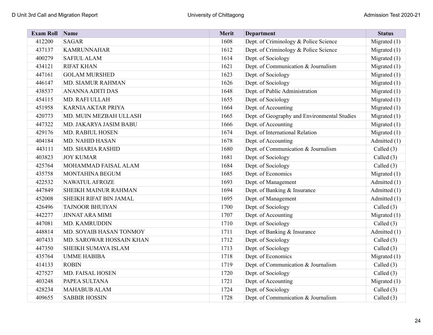| <b>Exam Roll</b> | Name                     | Merit | <b>Department</b>                            | <b>Status</b>  |
|------------------|--------------------------|-------|----------------------------------------------|----------------|
| 412200           | <b>SAGAR</b>             | 1608  | Dept. of Criminology & Police Science        | Migrated $(1)$ |
| 437137           | <b>KAMRUNNAHAR</b>       | 1612  | Dept. of Criminology & Police Science        | Migrated $(1)$ |
| 400279           | <b>SAFIUL ALAM</b>       | 1614  | Dept. of Sociology                           | Migrated $(1)$ |
| 434121           | <b>RIFAT KHAN</b>        | 1621  | Dept. of Communication & Journalism          | Migrated $(1)$ |
| 447161           | <b>GOLAM MURSHED</b>     | 1623  | Dept. of Sociology                           | Migrated $(1)$ |
| 446147           | MD. SIAMUR RAHMAN        | 1626  | Dept. of Sociology                           | Migrated $(1)$ |
| 438537           | <b>ANANNA ADITI DAS</b>  | 1648  | Dept. of Public Administration               | Migrated $(1)$ |
| 454115           | MD. RAFI ULLAH           | 1655  | Dept. of Sociology                           | Migrated $(1)$ |
| 451958           | KARNIA AKTAR PRIYA       | 1664  | Dept. of Accounting                          | Migrated $(1)$ |
| 420773           | MD. MUIN MEZBAH ULLASH   | 1665  | Dept. of Geography and Environmental Studies | Migrated $(1)$ |
| 447322           | MD. JAKARYA JASIM BABU   | 1666  | Dept. of Accounting                          | Migrated $(1)$ |
| 429176           | MD. RABIUL HOSEN         | 1674  | Dept. of International Relation              | Migrated $(1)$ |
| 404184           | MD. NAHID HASAN          | 1678  | Dept. of Accounting                          | Admitted (1)   |
| 443111           | MD. SHARIA RASHID        | 1680  | Dept. of Communication & Journalism          | Called $(3)$   |
| 403823           | <b>JOY KUMAR</b>         | 1681  | Dept. of Sociology                           | Called (3)     |
| 425764           | MOHAMMAD FAISAL ALAM     | 1684  | Dept. of Sociology                           | Called $(3)$   |
| 435758           | MONTAHINA BEGUM          | 1685  | Dept. of Economics                           | Migrated $(1)$ |
| 422532           | NAWATUL AFROZE           | 1693  | Dept. of Management                          | Admitted (1)   |
| 447849           | SHEIKH MAINUR RAHMAN     | 1694  | Dept. of Banking & Insurance                 | Admitted (1)   |
| 452008           | SHEIKH RIFAT BIN JAMAL   | 1695  | Dept. of Management                          | Admitted (1)   |
| 426496           | <b>TAJNOOR BHUIYAN</b>   | 1700  | Dept. of Sociology                           | Called $(3)$   |
| 442277           | <b>JINNAT ARA MIMI</b>   | 1707  | Dept. of Accounting                          | Migrated $(1)$ |
| 447081           | MD. KAMRUDDIN            | 1710  | Dept. of Sociology                           | Called $(3)$   |
| 448814           | MD. SOYAIB HASAN TONMOY  | 1711  | Dept. of Banking & Insurance                 | Admitted (1)   |
| 407433           | MD. SAROWAR HOSSAIN KHAN | 1712  | Dept. of Sociology                           | Called $(3)$   |
| 447350           | SHEIKH SUMAYA ISLAM      | 1713  | Dept. of Sociology                           | Called (3)     |
| 435764           | <b>UMME HABIBA</b>       | 1718  | Dept. of Economics                           | Migrated $(1)$ |
| 414133           | <b>ROBIN</b>             | 1719  | Dept. of Communication & Journalism          | Called $(3)$   |
| 427527           | MD. FAISAL HOSEN         | 1720  | Dept. of Sociology                           | Called $(3)$   |
| 403248           | PAPEA SULTANA            | 1721  | Dept. of Accounting                          | Migrated (1)   |
| 428234           | <b>MAHABUB ALAM</b>      | 1724  | Dept. of Sociology                           | Called $(3)$   |
| 409655           | <b>SABBIR HOSSIN</b>     | 1728  | Dept. of Communication & Journalism          | Called (3)     |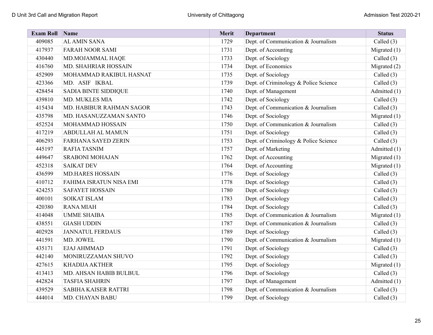| <b>Exam Roll</b> | Name                        | Merit | <b>Department</b>                     | <b>Status</b>  |
|------------------|-----------------------------|-------|---------------------------------------|----------------|
| 409085           | <b>AL AMIN SANA</b>         | 1729  | Dept. of Communication & Journalism   | Called (3)     |
| 417937           | <b>FARAH NOOR SAMI</b>      | 1731  | Dept. of Accounting                   | Migrated (1)   |
| 430440           | MD.MOJAMMAL HAQE            | 1733  | Dept. of Sociology                    | Called $(3)$   |
| 416760           | MD. SHAHRIAR HOSSAIN        | 1734  | Dept. of Economics                    | Migrated (2)   |
| 452909           | MOHAMMAD RAKIBUL HASNAT     | 1735  | Dept. of Sociology                    | Called (3)     |
| 423366           | MD. ASIF IKBAL              | 1739  | Dept. of Criminology & Police Science | Called (3)     |
| 428454           | <b>SADIA BINTE SIDDIQUE</b> | 1740  | Dept. of Management                   | Admitted (1)   |
| 439810           | MD. MUKLES MIA              | 1742  | Dept. of Sociology                    | Called (3)     |
| 415434           | MD. HABIBUR RAHMAN SAGOR    | 1743  | Dept. of Communication & Journalism   | Called $(3)$   |
| 435798           | MD. HASANUZZAMAN SANTO      | 1746  | Dept. of Sociology                    | Migrated $(1)$ |
| 452524           | MOHAMMAD HOSSAIN            | 1750  | Dept. of Communication & Journalism   | Called (3)     |
| 417219           | ABDULLAH AL MAMUN           | 1751  | Dept. of Sociology                    | Called $(3)$   |
| 406293           | <b>FARHANA SAYED ZERIN</b>  | 1753  | Dept. of Criminology & Police Science | Called $(3)$   |
| 445197           | <b>RAFIA TASNIM</b>         | 1757  | Dept. of Marketing                    | Admitted (1)   |
| 449647           | <b>SRABONI MOHAJAN</b>      | 1762  | Dept. of Accounting                   | Migrated (1)   |
| 452318           | <b>SAIKAT DEV</b>           | 1764  | Dept. of Accounting                   | Migrated (1)   |
| 436599           | <b>MD.HARES HOSSAIN</b>     | 1776  | Dept. of Sociology                    | Called (3)     |
| 410712           | FAHIMA ISRATUN NISA EMI     | 1778  | Dept. of Sociology                    | Called (3)     |
| 424253           | <b>SAFAYET HOSSAIN</b>      | 1780  | Dept. of Sociology                    | Called (3)     |
| 400101           | <b>SOIKAT ISLAM</b>         | 1783  | Dept. of Sociology                    | Called (3)     |
| 420380           | <b>RANA MIAH</b>            | 1784  | Dept. of Sociology                    | Called (3)     |
| 414048           | <b>UMME SHAIBA</b>          | 1785  | Dept. of Communication & Journalism   | Migrated (1)   |
| 438551           | <b>GIASH UDDIN</b>          | 1787  | Dept. of Communication & Journalism   | Called $(3)$   |
| 402928           | <b>JANNATUL FERDAUS</b>     | 1789  | Dept. of Sociology                    | Called $(3)$   |
| 441591           | MD. JOWEL                   | 1790  | Dept. of Communication & Journalism   | Migrated $(1)$ |
| 435171           | EJAJ AHMMAD                 | 1791  | Dept. of Sociology                    | Called (3)     |
| 442140           | MONIRUZZAMAN SHUVO          | 1792  | Dept. of Sociology                    | Called (3)     |
| 427615           | <b>KHADIJA AKTHER</b>       | 1795  | Dept. of Sociology                    | Migrated (1)   |
| 413413           | MD. AHSAN HABIB BULBUL      | 1796  | Dept. of Sociology                    | Called (3)     |
| 442824           | <b>TASFIA SHAHRIN</b>       | 1797  | Dept. of Management                   | Admitted (1)   |
| 439529           | SABIHA KAISER RATTRI        | 1798  | Dept. of Communication & Journalism   | Called $(3)$   |
| 444014           | MD. CHAYAN BABU             | 1799  | Dept. of Sociology                    | Called (3)     |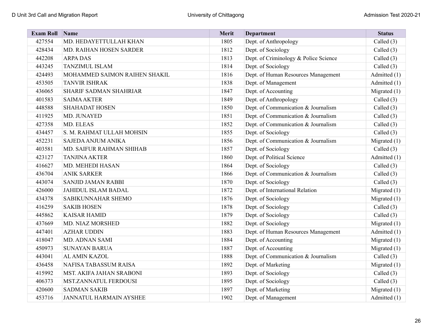| <b>Exam Roll</b> | <b>Name</b>                   | Merit | <b>Department</b>                     | <b>Status</b>  |
|------------------|-------------------------------|-------|---------------------------------------|----------------|
| 427554           | MD. HEDAYETTULLAH KHAN        | 1805  | Dept. of Anthropology                 | Called (3)     |
| 428434           | MD. RAIHAN HOSEN SARDER       | 1812  | Dept. of Sociology                    | Called (3)     |
| 442208           | <b>ARPADAS</b>                | 1813  | Dept. of Criminology & Police Science | Called (3)     |
| 443245           | TANZIMUL ISLAM                | 1814  | Dept. of Sociology                    | Called $(3)$   |
| 424493           | MOHAMMED SAIMON RAIHEN SHAKIL | 1816  | Dept. of Human Resources Management   | Admitted (1)   |
| 453505           | <b>TANVIR ISHRAK</b>          | 1838  | Dept. of Management                   | Admitted (1)   |
| 436065           | <b>SHARIF SADMAN SHAHRIAR</b> | 1847  | Dept. of Accounting                   | Migrated (1)   |
| 401583           | <b>SAIMA AKTER</b>            | 1849  | Dept. of Anthropology                 | Called (3)     |
| 448588           | <b>SHAHADAT HOSEN</b>         | 1850  | Dept. of Communication & Journalism   | Called $(3)$   |
| 411925           | MD. JUNAYED                   | 1851  | Dept. of Communication & Journalism   | Called $(3)$   |
| 427358           | MD. ELEAS                     | 1852  | Dept. of Communication & Journalism   | Called (3)     |
| 434457           | S. M. RAHMAT ULLAH MOHSIN     | 1855  | Dept. of Sociology                    | Called (3)     |
| 452231           | SAJEDA ANJUM ANIKA            | 1856  | Dept. of Communication & Journalism   | Migrated $(1)$ |
| 403581           | MD. SAIFUR RAHMAN SHIHAB      | 1857  | Dept. of Sociology                    | Called (3)     |
| 423127           | <b>TANJINA AKTER</b>          | 1860  | Dept. of Political Science            | Admitted (1)   |
| 416627           | MD. MEHEDI HASAN              | 1864  | Dept. of Sociology                    | Called $(3)$   |
| 436704           | <b>ANIK SARKER</b>            | 1866  | Dept. of Communication & Journalism   | Called (3)     |
| 443074           | <b>SANJID JAMAN RABBI</b>     | 1870  | Dept. of Sociology                    | Called (3)     |
| 426000           | JAHIDUL ISLAM BADAL           | 1872  | Dept. of International Relation       | Migrated (1)   |
| 434378           | SABIKUNNAHAR SHEMO            | 1876  | Dept. of Sociology                    | Migrated $(1)$ |
| 416259           | <b>SAKIB HOSEN</b>            | 1878  | Dept. of Sociology                    | Called $(3)$   |
| 445862           | <b>KAISAR HAMID</b>           | 1879  | Dept. of Sociology                    | Called $(3)$   |
| 437669           | MD. NIAZ MORSHED              | 1882  | Dept. of Sociology                    | Migrated (1)   |
| 447401           | <b>AZHAR UDDIN</b>            | 1883  | Dept. of Human Resources Management   | Admitted (1)   |
| 418047           | MD. ADNAN SAMI                | 1884  | Dept. of Accounting                   | Migrated (1)   |
| 450973           | <b>SUNAYAN BARUA</b>          | 1887  | Dept. of Accounting                   | Migrated (1)   |
| 443041           | AL AMIN KAZOL                 | 1888  | Dept. of Communication & Journalism   | Called (3)     |
| 436458           | NAFISA TABASSUM RAISA         | 1892  | Dept. of Marketing                    | Migrated (1)   |
| 415992           | MST. AKIFA JAHAN SRABONI      | 1893  | Dept. of Sociology                    | Called $(3)$   |
| 406373           | MST.ZANNATUL FERDOUSI         | 1895  | Dept. of Sociology                    | Called (3)     |
| 420600           | <b>SADMAN SAKIB</b>           | 1897  | Dept. of Marketing                    | Migrated $(1)$ |
| 453716           | JANNATUL HARMAIN AYSHEE       | 1902  | Dept. of Management                   | Admitted (1)   |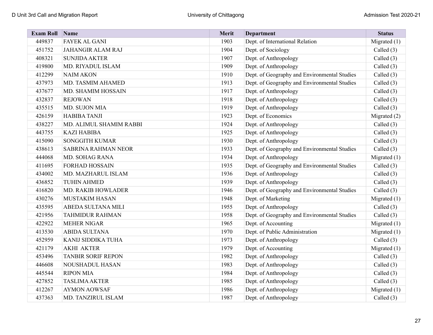| <b>Exam Roll</b> | Name                       | Merit | <b>Department</b>                            | <b>Status</b>  |
|------------------|----------------------------|-------|----------------------------------------------|----------------|
| 449837           | <b>FAYEK AL GANI</b>       | 1903  | Dept. of International Relation              | Migrated (1)   |
| 451752           | <b>JAHANGIR ALAM RAJ</b>   | 1904  | Dept. of Sociology                           | Called (3)     |
| 408321           | <b>SUNJIDA AKTER</b>       | 1907  | Dept. of Anthropology                        | Called (3)     |
| 419800           | MD. RIYADUL ISLAM          | 1909  | Dept. of Anthropology                        | Called (3)     |
| 412299           | <b>NAIM AKON</b>           | 1910  | Dept. of Geography and Environmental Studies | Called $(3)$   |
| 437973           | MD. TASMIM AHAMED          | 1913  | Dept. of Geography and Environmental Studies | Called (3)     |
| 437677           | MD. SHAMIM HOSSAIN         | 1917  | Dept. of Anthropology                        | Called $(3)$   |
| 432837           | <b>REJOWAN</b>             | 1918  | Dept. of Anthropology                        | Called (3)     |
| 435515           | MD. SUJON MIA              | 1919  | Dept. of Anthropology                        | Called $(3)$   |
| 426159           | <b>HABIBA TANJI</b>        | 1923  | Dept. of Economics                           | Migrated (2)   |
| 438227           | MD. ALIMUL SHAMIM RABBI    | 1924  | Dept. of Anthropology                        | Called (3)     |
| 443755           | <b>KAZI HABIBA</b>         | 1925  | Dept. of Anthropology                        | Called (3)     |
| 415090           | <b>SONGGITH KUMAR</b>      | 1930  | Dept. of Anthropology                        | Called (3)     |
| 438613           | <b>SABRINA RAHMAN NEOR</b> | 1933  | Dept. of Geography and Environmental Studies | Called (3)     |
| 444068           | MD. SOHAG RANA             | 1934  | Dept. of Anthropology                        | Migrated (1)   |
| 411695           | <b>FORHAD HOSSAIN</b>      | 1935  | Dept. of Geography and Environmental Studies | Called (3)     |
| 434002           | MD. MAZHARUL ISLAM         | 1936  | Dept. of Anthropology                        | Called (3)     |
| 436852           | <b>TUHIN AHMED</b>         | 1939  | Dept. of Anthropology                        | Called (3)     |
| 416820           | MD. RAKIB HOWLADER         | 1946  | Dept. of Geography and Environmental Studies | Called $(3)$   |
| 430276           | <b>MUSTAKIM HASAN</b>      | 1948  | Dept. of Marketing                           | Migrated (1)   |
| 435595           | ABEDA SULTANA MILI         | 1955  | Dept. of Anthropology                        | Called (3)     |
| 421956           | <b>TAHMIDUR RAHMAN</b>     | 1958  | Dept. of Geography and Environmental Studies | Called $(3)$   |
| 422922           | <b>MEHER NIGAR</b>         | 1965  | Dept. of Accounting                          | Migrated $(1)$ |
| 413530           | <b>ABIDA SULTANA</b>       | 1970  | Dept. of Public Administration               | Migrated (1)   |
| 452959           | KANIJ SIDDIKA TUHA         | 1973  | Dept. of Anthropology                        | Called $(3)$   |
| 421179           | <b>AKHI AKTER</b>          | 1979  | Dept. of Accounting                          | Migrated (1)   |
| 453496           | <b>TANBIR SORIF REPON</b>  | 1982  | Dept. of Anthropology                        | Called $(3)$   |
| 446608           | <b>NOUSHADUL HASAN</b>     | 1983  | Dept. of Anthropology                        | Called (3)     |
| 445544           | <b>RIPON MIA</b>           | 1984  | Dept. of Anthropology                        | Called (3)     |
| 427852           | <b>TASLIMA AKTER</b>       | 1985  | Dept. of Anthropology                        | Called $(3)$   |
| 412267           | <b>AYMON AOWSAF</b>        | 1986  | Dept. of Anthropology                        | Migrated $(1)$ |
| 437363           | MD. TANZIRUL ISLAM         | 1987  | Dept. of Anthropology                        | Called $(3)$   |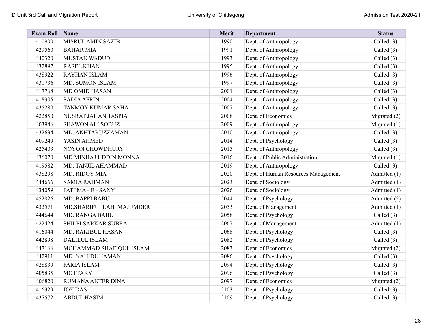| <b>Exam Roll</b> | Name                    | <b>Merit</b> | <b>Department</b>                   | <b>Status</b>  |
|------------------|-------------------------|--------------|-------------------------------------|----------------|
| 410900           | MISRUL AMIN SAZIB       | 1990         | Dept. of Anthropology               | Called (3)     |
| 429560           | <b>BAHAR MIA</b>        | 1991         | Dept. of Anthropology               | Called $(3)$   |
| 440320           | <b>MUSTAK WADUD</b>     | 1993         | Dept. of Anthropology               | Called $(3)$   |
| 432897           | <b>RASEL KHAN</b>       | 1995         | Dept. of Anthropology               | Called (3)     |
| 438922           | <b>RAYHAN ISLAM</b>     | 1996         | Dept. of Anthropology               | Called $(3)$   |
| 431736           | MD. SUMON ISLAM         | 1997         | Dept. of Anthropology               | Called $(3)$   |
| 417768           | MD OMID HASAN           | 2001         | Dept. of Anthropology               | Called (3)     |
| 418305           | <b>SADIA AFRIN</b>      | 2004         | Dept. of Anthropology               | Called (3)     |
| 435280           | TANMOY KUMAR SAHA       | 2007         | Dept. of Anthropology               | Called (3)     |
| 422850           | NUSRAT JAHAN TASPIA     | 2008         | Dept. of Economics                  | Migrated (2)   |
| 403946           | <b>SHAWON ALI SOBUZ</b> | 2009         | Dept. of Anthropology               | Migrated $(1)$ |
| 432634           | MD. AKHTARUZZAMAN       | 2010         | Dept. of Anthropology               | Called $(3)$   |
| 409249           | YASIN AHMED             | 2014         | Dept. of Psychology                 | Called $(3)$   |
| 425403           | NOYON CHOWDHURY         | 2015         | Dept. of Anthropology               | Called (3)     |
| 436070           | MD MINHAJ UDDIN MONNA   | 2016         | Dept. of Public Administration      | Migrated $(1)$ |
| 419582           | MD. TANJIL AHAMMAD      | 2019         | Dept. of Anthropology               | Called $(3)$   |
| 438298           | MD. RIDOY MIA           | 2020         | Dept. of Human Resources Management | Admitted (1)   |
| 444666           | <b>SAMIA RAHMAN</b>     | 2023         | Dept. of Sociology                  | Admitted (1)   |
| 434059           | FATEMA - E - SANY       | 2026         | Dept. of Sociology                  | Admitted (1)   |
| 452826           | MD. BAPPI BABU          | 2044         | Dept. of Psychology                 | Admitted (2)   |
| 432571           | MD.SHARIFULLAH MAJUMDER | 2053         | Dept. of Management                 | Admitted (1)   |
| 444644           | MD. RANGA BABU          | 2058         | Dept. of Psychology                 | Called $(3)$   |
| 422424           | SHILPI SARKAR SUBRA     | 2067         | Dept. of Management                 | Admitted (1)   |
| 416044           | MD. RAKIBUL HASAN       | 2068         | Dept. of Psychology                 | Called (3)     |
| 442898           | <b>DALILUL ISLAM</b>    | 2082         | Dept. of Psychology                 | Called $(3)$   |
| 447166           | MOHAMMAD SHAFIQUL ISLAM | 2083         | Dept. of Economics                  | Migrated (2)   |
| 442911           | MD. NAHIDUJJAMAN        | 2086         | Dept. of Psychology                 | Called $(3)$   |
| 428839           | <b>FARIA ISLAM</b>      | 2094         | Dept. of Psychology                 | Called $(3)$   |
| 405835           | <b>MOTTAKY</b>          | 2096         | Dept. of Psychology                 | Called (3)     |
| 406820           | RUMANA AKTER DINA       | 2097         | Dept. of Economics                  | Migrated (2)   |
| 416329           | <b>JOY DAS</b>          | 2103         | Dept. of Psychology                 | Called $(3)$   |
| 437572           | <b>ABDUL HASIM</b>      | 2109         | Dept. of Psychology                 | Called $(3)$   |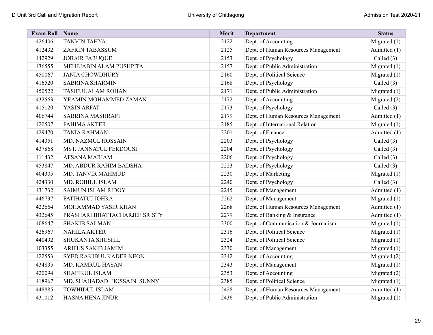| <b>Exam Roll</b> | Name                          | Merit | <b>Department</b>                   | <b>Status</b>  |
|------------------|-------------------------------|-------|-------------------------------------|----------------|
| 426406           | TANVIN TAHYA.                 | 2122  | Dept. of Accounting                 | Migrated (1)   |
| 412432           | ZAFRIN TABASSUM               | 2125  | Dept. of Human Resources Management | Admitted (1)   |
| 442929           | <b>JOBAIR FARUQUE</b>         | 2153  | Dept. of Psychology                 | Called $(3)$   |
| 436555           | MEHEJABIN ALAM PUSHPITA       | 2157  | Dept. of Public Administration      | Migrated (1)   |
| 450067           | <b>JANIA CHOWDHURY</b>        | 2160  | Dept. of Political Science          | Migrated $(1)$ |
| 416520           | <b>SABRINA SHARMIN</b>        | 2168  | Dept. of Psychology                 | Called $(3)$   |
| 450522           | TASIFUL ALAM ROHAN            | 2171  | Dept. of Public Administration      | Migrated (1)   |
| 432563           | YEAMIN MOHAMMED ZAMAN         | 2172  | Dept. of Accounting                 | Migrated (2)   |
| 415120           | YASIN ARFAT                   | 2173  | Dept. of Psychology                 | Called $(3)$   |
| 406744           | SABRINA MASHRAFI              | 2179  | Dept. of Human Resources Management | Admitted (1)   |
| 420507           | <b>FAHIMA AKTER</b>           | 2185  | Dept. of International Relation     | Migrated $(1)$ |
| 429470           | <b>TANIA RAHMAN</b>           | 2201  | Dept. of Finance                    | Admitted (1)   |
| 414351           | MD. NAZMUL HOSSAIN            | 2203  | Dept. of Psychology                 | Called (3)     |
| 437868           | MST. JANNATUL FERDOUSI        | 2204  | Dept. of Psychology                 | Called (3)     |
| 411432           | AFSANA MARIAM                 | 2206  | Dept. of Psychology                 | Called (3)     |
| 453847           | MD. ABDUR RAHIM BADSHA        | 2223  | Dept. of Psychology                 | Called (3)     |
| 404305           | MD. TANVIR MAHMUD             | 2230  | Dept. of Marketing                  | Migrated (1)   |
| 424330           | MD. ROBIUL ISLAM              | 2240  | Dept. of Psychology                 | Called $(3)$   |
| 431732           | <b>SAIMUN ISLAM RIDOY</b>     | 2245  | Dept. of Management                 | Admitted (1)   |
| 446737           | FATIHATUJ JOHRA               | 2262  | Dept. of Management                 | Migrated $(1)$ |
| 422664           | MOHAMMAD YASIR KHAN           | 2268  | Dept. of Human Resources Management | Admitted (1)   |
| 432645           | PRASHARI BHATTACHARJEE SRISTY | 2279  | Dept. of Banking & Insurance        | Admitted (1)   |
| 408647           | <b>SHAKIB SALMAN</b>          | 2300  | Dept. of Communication & Journalism | Migrated $(1)$ |
| 426967           | <b>NAHILA AKTER</b>           | 2316  | Dept. of Political Science          | Migrated $(1)$ |
| 440492           | SHUKANTA SHUSHIL              | 2324  | Dept. of Political Science          | Migrated $(1)$ |
| 403355           | ARIFUS SAKIB JAMIM            | 2330  | Dept. of Management                 | Migrated (1)   |
| 422553           | SYED RAKIBUL KADER NEON       | 2342  | Dept. of Accounting                 | Migrated (2)   |
| 434835           | MD. KAMRUL HASAN              | 2343  | Dept. of Management                 | Migrated (1)   |
| 420094           | <b>SHAFIKUL ISLAM</b>         | 2353  | Dept. of Accounting                 | Migrated (2)   |
| 418967           | MD. SHAHADAD HOSSAIN SUNNY    | 2385  | Dept. of Political Science          | Migrated $(1)$ |
| 448885           | <b>TOWHIDUL ISLAM</b>         | 2428  | Dept. of Human Resources Management | Admitted (1)   |
| 431012           | HASNA HENA JINUR              | 2436  | Dept. of Public Administration      | Migrated $(1)$ |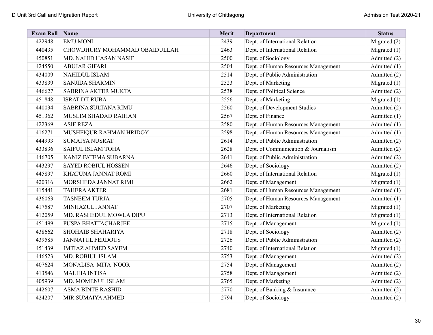| <b>Exam Roll</b> | Name                          | Merit | <b>Department</b>                   | <b>Status</b>  |
|------------------|-------------------------------|-------|-------------------------------------|----------------|
| 422948           | <b>EMU MONI</b>               | 2439  | Dept. of International Relation     | Migrated (2)   |
| 440435           | CHOWDHURY MOHAMMAD OBAIDULLAH | 2463  | Dept. of International Relation     | Migrated $(1)$ |
| 450851           | MD. NAHID HASAN NASIF         | 2500  | Dept. of Sociology                  | Admitted (2)   |
| 424550           | <b>ABUJAR GIFARI</b>          | 2504  | Dept. of Human Resources Management | Admitted (1)   |
| 434009           | NAHIDUL ISLAM                 | 2514  | Dept. of Public Administration      | Admitted (2)   |
| 433839           | <b>SANJIDA SHARMIN</b>        | 2523  | Dept. of Marketing                  | Migrated $(1)$ |
| 446627           | SABRINA AKTER MUKTA           | 2538  | Dept. of Political Science          | Admitted (2)   |
| 451848           | <b>ISRAT DILRUBA</b>          | 2556  | Dept. of Marketing                  | Migrated $(1)$ |
| 440034           | SABRINA SULTANA RIMU          | 2560  | Dept. of Development Studies        | Admitted (2)   |
| 451362           | MUSLIM SHADAD RAIHAN          | 2567  | Dept. of Finance                    | Admitted (1)   |
| 422369           | <b>ASIF REZA</b>              | 2580  | Dept. of Human Resources Management | Admitted (1)   |
| 416271           | MUSHFIQUR RAHMAN HRIDOY       | 2598  | Dept. of Human Resources Management | Admitted (1)   |
| 444993           | <b>SUMAIYA NUSRAT</b>         | 2614  | Dept. of Public Administration      | Admitted (2)   |
| 433836           | SAIFUL ISLAM TOHA             | 2628  | Dept. of Communication & Journalism | Admitted (2)   |
| 446705           | KANIZ FATEMA SUBARNA          | 2641  | Dept. of Public Administration      | Admitted (2)   |
| 443297           | <b>SAYED ROBIUL HOSSEN</b>    | 2646  | Dept. of Sociology                  | Admitted (2)   |
| 445897           | KHATUNA JANNAT ROMI           | 2660  | Dept. of International Relation     | Migrated $(1)$ |
| 420316           | MORSHEDA JANNAT RIMI          | 2662  | Dept. of Management                 | Migrated $(1)$ |
| 415441           | <b>TAHERA AKTER</b>           | 2681  | Dept. of Human Resources Management | Admitted (1)   |
| 436063           | <b>TASNEEM TURJA</b>          | 2705  | Dept. of Human Resources Management | Admitted (1)   |
| 417587           | MINHAZUL JANNAT               | 2707  | Dept. of Marketing                  | Migrated $(1)$ |
| 412059           | MD. RASHEDUL MOWLA DIPU       | 2713  | Dept. of International Relation     | Migrated (1)   |
| 451499           | PUSPA BHATTACHARJEE           | 2715  | Dept. of Management                 | Migrated $(1)$ |
| 438662           | SHOHAIB SHAHARIYA             | 2718  | Dept. of Sociology                  | Admitted (2)   |
| 439585           | <b>JANNATUL FERDOUS</b>       | 2726  | Dept. of Public Administration      | Admitted (2)   |
| 451439           | <b>IMTIAZ AHMED SAYEM</b>     | 2740  | Dept. of International Relation     | Migrated $(1)$ |
| 446523           | MD. ROBIUL ISLAM              | 2753  | Dept. of Management                 | Admitted (2)   |
| 407624           | MONALISA MITA NOOR            | 2754  | Dept. of Management                 | Admitted (2)   |
| 413546           | <b>MALIHA INTISA</b>          | 2758  | Dept. of Management                 | Admitted (2)   |
| 405939           | MD. MOMENUL ISLAM             | 2765  | Dept. of Marketing                  | Admitted (2)   |
| 442607           | <b>ASMA BINTE RASHID</b>      | 2770  | Dept. of Banking & Insurance        | Admitted (2)   |
| 424207           | MIR SUMAIYA AHMED             | 2794  | Dept. of Sociology                  | Admitted (2)   |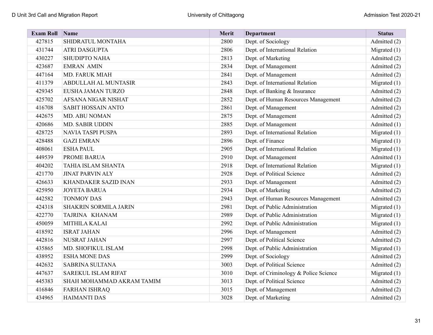| <b>Exam Roll</b> | $\sqrt{\frac{1}{2}}$ Name    | Merit | <b>Department</b>                     | <b>Status</b>  |
|------------------|------------------------------|-------|---------------------------------------|----------------|
| 427815           | SHIDRATUL MONTAHA            | 2800  | Dept. of Sociology                    | Admitted (2)   |
| 431744           | ATRI DASGUPTA                | 2806  | Dept. of International Relation       | Migrated $(1)$ |
| 430227           | <b>SHUDIPTO NAHA</b>         | 2813  | Dept. of Marketing                    | Admitted (2)   |
| 423687           | <b>EMRAN AMIN</b>            | 2834  | Dept. of Management                   | Admitted (2)   |
| 447164           | <b>MD. FARUK MIAH</b>        | 2841  | Dept. of Management                   | Admitted (2)   |
| 411379           | ABDULLAH AL MUNTASIR         | 2843  | Dept. of International Relation       | Migrated $(1)$ |
| 429345           | EUSHA JAMAN TURZO            | 2848  | Dept. of Banking & Insurance          | Admitted (2)   |
| 425702           | AFSANA NIGAR NISHAT          | 2852  | Dept. of Human Resources Management   | Admitted (2)   |
| 416708           | <b>SABIT HOSSAIN ANTO</b>    | 2861  | Dept. of Management                   | Admitted (2)   |
| 442675           | <b>MD. ABU NOMAN</b>         | 2875  | Dept. of Management                   | Admitted (2)   |
| 420686           | MD. SABIR UDDIN              | 2885  | Dept. of Management                   | Admitted (1)   |
| 428725           | NAVIA TASPI PUSPA            | 2893  | Dept. of International Relation       | Migrated $(1)$ |
| 428488           | <b>GAZI EMRAN</b>            | 2896  | Dept. of Finance                      | Migrated $(1)$ |
| 408061           | <b>ESHA PAUL</b>             | 2905  | Dept. of International Relation       | Migrated $(1)$ |
| 449539           | PROME BARUA                  | 2910  | Dept. of Management                   | Admitted (1)   |
| 404202           | TAHIA ISLAM SHANTA           | 2918  | Dept. of International Relation       | Migrated $(1)$ |
| 421770           | <b>JINAT PARVIN ALY</b>      | 2928  | Dept. of Political Science            | Admitted (2)   |
| 426633           | <b>KHANDAKER SAZID INAN</b>  | 2933  | Dept. of Management                   | Admitted (2)   |
| 425950           | <b>JOYETA BARUA</b>          | 2934  | Dept. of Marketing                    | Admitted (2)   |
| 442582           | <b>TONMOY DAS</b>            | 2943  | Dept. of Human Resources Management   | Admitted (2)   |
| 424318           | <b>SHAKRIN SORMILA JARIN</b> | 2981  | Dept. of Public Administration        | Migrated $(1)$ |
| 422770           | TAJRINA KHANAM               | 2989  | Dept. of Public Administration        | Migrated (1)   |
| 450059           | MITHILA KALAI                | 2992  | Dept. of Public Administration        | Migrated $(1)$ |
| 418592           | <b>ISRAT JAHAN</b>           | 2996  | Dept. of Management                   | Admitted (2)   |
| 442816           | NUSRAT JAHAN                 | 2997  | Dept. of Political Science            | Admitted (2)   |
| 435865           | MD. SHOFIKUL ISLAM           | 2998  | Dept. of Public Administration        | Migrated $(1)$ |
| 438952           | <b>ESHA MONE DAS</b>         | 2999  | Dept. of Sociology                    | Admitted (2)   |
| 442632           | <b>SABRINA SULTANA</b>       | 3003  | Dept. of Political Science            | Admitted (2)   |
| 447637           | <b>SAREKUL ISLAM RIFAT</b>   | 3010  | Dept. of Criminology & Police Science | Migrated $(1)$ |
| 445383           | SHAH MOHAMMAD AKRAM TAMIM    | 3013  | Dept. of Political Science            | Admitted (2)   |
| 416846           | <b>FARHAN ISHRAQ</b>         | 3015  | Dept. of Management                   | Admitted (2)   |
| 434965           | <b>HAIMANTI DAS</b>          | 3028  | Dept. of Marketing                    | Admitted (2)   |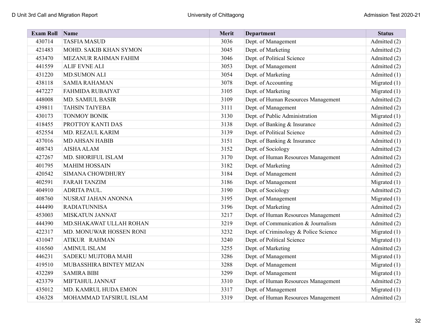| <b>Exam Roll</b> | Name                    | Merit | <b>Department</b>                     | <b>Status</b>  |
|------------------|-------------------------|-------|---------------------------------------|----------------|
| 430714           | <b>TASFIA MASUD</b>     | 3036  | Dept. of Management                   | Admitted (2)   |
| 421483           | MOHD. SAKIB KHAN SYMON  | 3045  | Dept. of Marketing                    | Admitted (2)   |
| 453470           | MEZANUR RAHMAN FAHIM    | 3046  | Dept. of Political Science            | Admitted (2)   |
| 441559           | <b>ALIF EVNE ALI</b>    | 3053  | Dept. of Management                   | Admitted (2)   |
| 431220           | <b>MD.SUMON ALI</b>     | 3054  | Dept. of Marketing                    | Admitted (1)   |
| 438118           | <b>SAMIA RAHAMAN</b>    | 3078  | Dept. of Accounting                   | Migrated $(1)$ |
| 447227           | <b>FAHMIDA RUBAIYAT</b> | 3105  | Dept. of Marketing                    | Migrated $(1)$ |
| 448008           | <b>MD. SAMIUL BASIR</b> | 3109  | Dept. of Human Resources Management   | Admitted (2)   |
| 439811           | <b>TAHSIN TAIYEBA</b>   | 3111  | Dept. of Management                   | Admitted (2)   |
| 430173           | TONMOY BONIK            | 3130  | Dept. of Public Administration        | Migrated $(1)$ |
| 418455           | PROTTOY KANTI DAS       | 3138  | Dept. of Banking & Insurance          | Admitted (2)   |
| 452554           | MD. REZAUL KARIM        | 3139  | Dept. of Political Science            | Admitted (2)   |
| 437016           | <b>MD AHSAN HABIB</b>   | 3151  | Dept. of Banking & Insurance          | Admitted (1)   |
| 408743           | <b>AISHA ALAM</b>       | 3152  | Dept. of Sociology                    | Admitted (2)   |
| 427267           | MD. SHORIFUL ISLAM      | 3170  | Dept. of Human Resources Management   | Admitted (2)   |
| 401795           | <b>MAHIM HOSSAIN</b>    | 3182  | Dept. of Marketing                    | Admitted (2)   |
| 420542           | <b>SIMANA CHOWDHURY</b> | 3184  | Dept. of Management                   | Admitted (2)   |
| 402591           | <b>FARAH TANZIM</b>     | 3186  | Dept. of Management                   | Migrated $(1)$ |
| 404910           | ADRITA PAUL.            | 3190  | Dept. of Sociology                    | Admitted (2)   |
| 408760           | NUSRAT JAHAN ANONNA     | 3195  | Dept. of Management                   | Migrated $(1)$ |
| 444490           | <b>RADIATUNNISA</b>     | 3196  | Dept. of Marketing                    | Admitted (2)   |
| 453003           | MISKATUN JANNAT         | 3217  | Dept. of Human Resources Management   | Admitted (2)   |
| 444390           | MD.SHAKAWAT ULLAH ROHAN | 3219  | Dept. of Communication & Journalism   | Admitted (2)   |
| 422317           | MD. MONUWAR HOSSEN RONI | 3232  | Dept. of Criminology & Police Science | Migrated (1)   |
| 431047           | ATIKUR RAHMAN           | 3240  | Dept. of Political Science            | Migrated (1)   |
| 416560           | <b>AMINUL ISLAM</b>     | 3255  | Dept. of Marketing                    | Admitted (2)   |
| 446231           | SADEKU MUJTOBA MAHI     | 3286  | Dept. of Management                   | Migrated $(1)$ |
| 419510           | MUBASSHIRA BINTEY MIZAN | 3288  | Dept. of Management                   | Migrated (1)   |
| 432289           | <b>SAMIRA BIBI</b>      | 3299  | Dept. of Management                   | Migrated $(1)$ |
| 423379           | MIFTAHUL JANNAT         | 3310  | Dept. of Human Resources Management   | Admitted (2)   |
| 435012           | MD. KAMRUL HUDA EMON    | 3317  | Dept. of Management                   | Migrated $(1)$ |
| 436328           | MOHAMMAD TAFSIRUL ISLAM | 3319  | Dept. of Human Resources Management   | Admitted (2)   |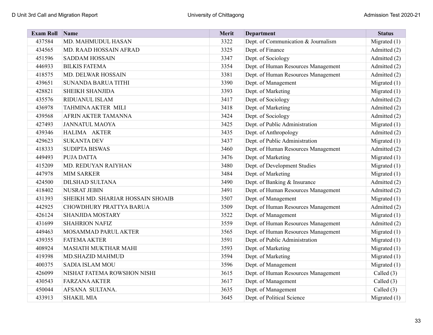| <b>Exam Roll</b> | Name                              | Merit | <b>Department</b>                   | <b>Status</b>  |
|------------------|-----------------------------------|-------|-------------------------------------|----------------|
| 437584           | MD. MAHMUDUL HASAN                | 3322  | Dept. of Communication & Journalism | Migrated (1)   |
| 434565           | MD. RAAD HOSSAIN AFRAD            | 3325  | Dept. of Finance                    | Admitted (2)   |
| 451596           | <b>SADDAM HOSSAIN</b>             | 3347  | Dept. of Sociology                  | Admitted (2)   |
| 446933           | <b>BILKIS FATEMA</b>              | 3354  | Dept. of Human Resources Management | Admitted (2)   |
| 418575           | MD. DELWAR HOSSAIN                | 3381  | Dept. of Human Resources Management | Admitted (2)   |
| 439651           | <b>SUNANDA BARUA TITHI</b>        | 3390  | Dept. of Management                 | Migrated $(1)$ |
| 428821           | SHEIKH SHANJIDA                   | 3393  | Dept. of Marketing                  | Migrated $(1)$ |
| 435576           | RIDUANUL ISLAM                    | 3417  | Dept. of Sociology                  | Admitted (2)   |
| 436978           | TAHMINA AKTER MILI                | 3418  | Dept. of Marketing                  | Admitted (2)   |
| 439568           | AFRIN AKTER TAMANNA               | 3424  | Dept. of Sociology                  | Admitted (2)   |
| 427493           | <b>JANNATUL MAOYA</b>             | 3425  | Dept. of Public Administration      | Migrated $(1)$ |
| 439346           | HALIMA AKTER                      | 3435  | Dept. of Anthropology               | Admitted (2)   |
| 429623           | <b>SUKANTA DEV</b>                | 3437  | Dept. of Public Administration      | Migrated (1)   |
| 418333           | <b>SUDIPTA BISWAS</b>             | 3460  | Dept. of Human Resources Management | Admitted (2)   |
| 449493           | PUJA DATTA                        | 3476  | Dept. of Marketing                  | Migrated (1)   |
| 415209           | MD. REDUYAN RAIYHAN               | 3480  | Dept. of Development Studies        | Migrated (1)   |
| 447978           | <b>MIM SARKER</b>                 | 3484  | Dept. of Marketing                  | Migrated $(1)$ |
| 424500           | <b>DILSHAD SULTANA</b>            | 3490  | Dept. of Banking & Insurance        | Admitted (2)   |
| 418402           | <b>NUSRAT JEBIN</b>               | 3491  | Dept. of Human Resources Management | Admitted (2)   |
| 431393           | SHEIKH MD. SHARIAR HOSSAIN SHOAIB | 3507  | Dept. of Management                 | Migrated $(1)$ |
| 442925           | CHOWDHURY PRATTYA BARUA           | 3509  | Dept. of Human Resources Management | Admitted (2)   |
| 426124           | <b>SHANJIDA MOSTARY</b>           | 3522  | Dept. of Management                 | Migrated $(1)$ |
| 431699           | <b>SHAHRION NAFIZ</b>             | 3559  | Dept. of Human Resources Management | Admitted (2)   |
| 449463           | MOSAMMAD PARUL AKTER              | 3565  | Dept. of Human Resources Management | Migrated $(1)$ |
| 439355           | <b>FATEMA AKTER</b>               | 3591  | Dept. of Public Administration      | Migrated (1)   |
| 408924           | <b>MASIATH MUKTHAR MAHI</b>       | 3593  | Dept. of Marketing                  | Migrated (1)   |
| 419398           | MD.SHAZID MAHMUD                  | 3594  | Dept. of Marketing                  | Migrated $(1)$ |
| 400375           | <b>SADIA ISLAM MOU</b>            | 3596  | Dept. of Management                 | Migrated $(1)$ |
| 426099           | NISHAT FATEMA ROWSHON NISHI       | 3615  | Dept. of Human Resources Management | Called (3)     |
| 430543           | <b>FARZANA AKTER</b>              | 3617  | Dept. of Management                 | Called $(3)$   |
| 450044           | AFSANA SULTANA.                   | 3635  | Dept. of Management                 | Called $(3)$   |
| 433913           | <b>SHAKIL MIA</b>                 | 3645  | Dept. of Political Science          | Migrated $(1)$ |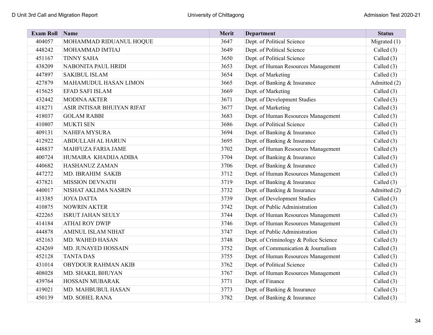| <b>Exam Roll Name</b> |                              | Merit | <b>Department</b>                     | <b>Status</b> |
|-----------------------|------------------------------|-------|---------------------------------------|---------------|
| 404057                | MOHAMMAD RIDUANUL HOQUE      | 3647  | Dept. of Political Science            | Migrated (1)  |
| 448242                | MOHAMMAD IMTIAJ              | 3649  | Dept. of Political Science            | Called $(3)$  |
| 451167                | <b>TINNY SAHA</b>            | 3650  | Dept. of Political Science            | Called (3)    |
| 438209                | NABONITA PAUL HRIDI          | 3653  | Dept. of Human Resources Management   | Called (3)    |
| 447897                | <b>SAKIBUL ISLAM</b>         | 3654  | Dept. of Marketing                    | Called $(3)$  |
| 427879                | <b>MAHAMUDUL HASAN LIMON</b> | 3665  | Dept. of Banking & Insurance          | Admitted (2)  |
| 415625                | EFAD SAFI ISLAM              | 3669  | Dept. of Marketing                    | Called (3)    |
| 432442                | <b>MODINA AKTER</b>          | 3671  | Dept. of Development Studies          | Called (3)    |
| 418271                | ASIR INTISAR BHUIYAN RIFAT   | 3677  | Dept. of Marketing                    | Called (3)    |
| 418037                | <b>GOLAM RABBI</b>           | 3683  | Dept. of Human Resources Management   | Called (3)    |
| 410807                | <b>MUKTI SEN</b>             | 3686  | Dept. of Political Science            | Called $(3)$  |
| 409131                | <b>NAHIFA MYSURA</b>         | 3694  | Dept. of Banking & Insurance          | Called (3)    |
| 412922                | <b>ABDULLAH AL HARUN</b>     | 3695  | Dept. of Banking & Insurance          | Called (3)    |
| 448837                | MAHFUZA FARIA JAME           | 3702  | Dept. of Human Resources Management   | Called (3)    |
| 400724                | HUMAIRA KHADIJA ADIBA        | 3704  | Dept. of Banking & Insurance          | Called (3)    |
| 440682                | HASHANUZ ZAMAN               | 3706  | Dept. of Banking & Insurance          | Called (3)    |
| 447272                | MD. IBRAHIM SAKIB            | 3712  | Dept. of Human Resources Management   | Called (3)    |
| 437821                | <b>MISSION DEVNATH</b>       | 3719  | Dept. of Banking & Insurance          | Called (3)    |
| 440017                | NISHAT AKLIMA NASRIN         | 3732  | Dept. of Banking & Insurance          | Admitted (2)  |
| 413385                | <b>JOYA DATTA</b>            | 3739  | Dept. of Development Studies          | Called $(3)$  |
| 410875                | <b>NOWRIN AKTER</b>          | 3742  | Dept. of Public Administration        | Called (3)    |
| 422265                | <b>ISRUT JAHAN SEULY</b>     | 3744  | Dept. of Human Resources Management   | Called (3)    |
| 414184                | <b>ATHAI ROY DWIP</b>        | 3746  | Dept. of Human Resources Management   | Called (3)    |
| 444878                | <b>AMINUL ISLAM NIHAT</b>    | 3747  | Dept. of Public Administration        | Called (3)    |
| 452163                | MD. WAHED HASAN              | 3748  | Dept. of Criminology & Police Science | Called $(3)$  |
| 424269                | MD. JUNAYED HOSSAIN          | 3752  | Dept. of Communication & Journalism   | Called $(3)$  |
| 452128                | <b>TANTA DAS</b>             | 3755  | Dept. of Human Resources Management   | Called (3)    |
| 431014                | OBYDOUR RAHMAN AKIB          | 3762  | Dept. of Political Science            | Called (3)    |
| 408028                | MD. SHAKIL BHUYAN            | 3767  | Dept. of Human Resources Management   | Called (3)    |
| 439764                | HOSSAIN MUBARAK              | 3771  | Dept. of Finance                      | Called (3)    |
| 419021                | MD. MAHBUBUL HASAN           | 3773  | Dept. of Banking & Insurance          | Called (3)    |
| 450139                | MD. SOHEL RANA               | 3782  | Dept. of Banking & Insurance          | Called (3)    |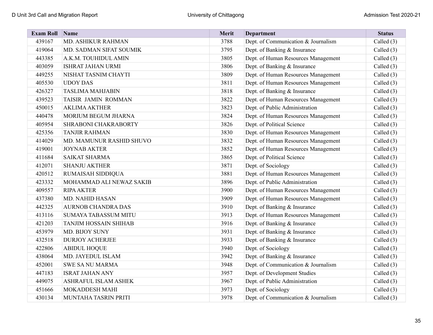| <b>Exam Roll</b> | Name                        | Merit | <b>Department</b>                   | <b>Status</b> |
|------------------|-----------------------------|-------|-------------------------------------|---------------|
| 439167           | MD. ASHIKUR RAHMAN          | 3788  | Dept. of Communication & Journalism | Called (3)    |
| 419064           | MD. SADMAN SIFAT SOUMIK     | 3795  | Dept. of Banking & Insurance        | Called (3)    |
| 443385           | A.K.M. TOUHIDUL AMIN        | 3805  | Dept. of Human Resources Management | Called (3)    |
| 403059           | <b>ISHRAT JAHAN URMI</b>    | 3806  | Dept. of Banking & Insurance        | Called (3)    |
| 449255           | NISHAT TASNIM CHAYTI        | 3809  | Dept. of Human Resources Management | Called (3)    |
| 405530           | <b>UDOY DAS</b>             | 3811  | Dept. of Human Resources Management | Called (3)    |
| 426327           | <b>TASLIMA MAHJABIN</b>     | 3818  | Dept. of Banking & Insurance        | Called (3)    |
| 439523           | TAISIR JAMIN ROMMAN         | 3822  | Dept. of Human Resources Management | Called (3)    |
| 450015           | <b>AKLIMA AKTHER</b>        | 3823  | Dept. of Public Administration      | Called (3)    |
| 440478           | MORIUM BEGUM JHARNA         | 3824  | Dept. of Human Resources Management | Called (3)    |
| 405954           | SHRABONI CHAKRABORTY        | 3826  | Dept. of Political Science          | Called (3)    |
| 425356           | <b>TANJIR RAHMAN</b>        | 3830  | Dept. of Human Resources Management | Called (3)    |
| 414029           | MD. MAMUNUR RASHID SHUVO    | 3832  | Dept. of Human Resources Management | Called (3)    |
| 419001           | <b>JOYNAB AKTER</b>         | 3852  | Dept. of Human Resources Management | Called (3)    |
| 411684           | <b>SAIKAT SHARMA</b>        | 3865  | Dept. of Political Science          | Called (3)    |
| 412071           | <b>SHANJU AKTHER</b>        | 3871  | Dept. of Sociology                  | Called (3)    |
| 420512           | RUMAISAH SIDDIQUA           | 3881  | Dept. of Human Resources Management | Called (3)    |
| 423332           | MOHAMMAD ALI NEWAZ SAKIB    | 3896  | Dept. of Public Administration      | Called (3)    |
| 409557           | <b>RIPA AKTER</b>           | 3900  | Dept. of Human Resources Management | Called (3)    |
| 437380           | MD. NAHID HASAN             | 3909  | Dept. of Human Resources Management | Called (3)    |
| 442325           | <b>AURNOB CHANDRA DAS</b>   | 3910  | Dept. of Banking & Insurance        | Called (3)    |
| 413116           | <b>SUMAYA TABASSUM MITU</b> | 3913  | Dept. of Human Resources Management | Called (3)    |
| 421203           | TANJIM HOSSAIN SHIHAB       | 3916  | Dept. of Banking & Insurance        | Called (3)    |
| 453979           | MD. BIJOY SUNY              | 3931  | Dept. of Banking & Insurance        | Called (3)    |
| 432518           | <b>DURJOY ACHERJEE</b>      | 3933  | Dept. of Banking & Insurance        | Called (3)    |
| 422806           | <b>ABIDUL HOQUE</b>         | 3940  | Dept. of Sociology                  | Called (3)    |
| 438064           | MD. JAYEDUL ISLAM           | 3942  | Dept. of Banking & Insurance        | Called (3)    |
| 452001           | <b>SWE SA NU MARMA</b>      | 3948  | Dept. of Communication & Journalism | Called (3)    |
| 447183           | <b>ISRAT JAHAN ANY</b>      | 3957  | Dept. of Development Studies        | Called (3)    |
| 449075           | ASHRAFUL ISLAM ASHEK        | 3967  | Dept. of Public Administration      | Called (3)    |
| 451666           | MOKADDESH MAHI              | 3973  | Dept. of Sociology                  | Called $(3)$  |
| 430134           | MUNTAHA TASRIN PRITI        | 3978  | Dept. of Communication & Journalism | Called (3)    |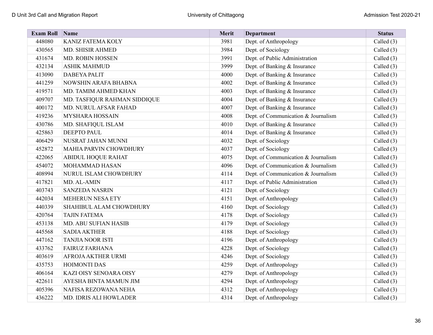| <b>Exam Roll</b> | Name                         | Merit | <b>Department</b>                   | <b>Status</b> |
|------------------|------------------------------|-------|-------------------------------------|---------------|
| 448080           | KANIZ FATEMA KOLY            | 3981  | Dept. of Anthropology               | Called (3)    |
| 430565           | MD. SHISIR AHMED             | 3984  | Dept. of Sociology                  | Called (3)    |
| 431674           | MD. ROBIN HOSSEN             | 3991  | Dept. of Public Administration      | Called (3)    |
| 432134           | <b>ASHIK MAHMUD</b>          | 3999  | Dept. of Banking & Insurance        | Called (3)    |
| 413090           | <b>DABEYA PALIT</b>          | 4000  | Dept. of Banking & Insurance        | Called $(3)$  |
| 441259           | NOWSHIN ARAFA BHABNA         | 4002  | Dept. of Banking & Insurance        | Called (3)    |
| 419571           | MD. TAMIM AHMED KHAN         | 4003  | Dept. of Banking & Insurance        | Called (3)    |
| 409707           | MD. TASFIQUR RAHMAN SIDDIQUE | 4004  | Dept. of Banking & Insurance        | Called (3)    |
| 400172           | MD. NURUL AFSAR FAHAD        | 4007  | Dept. of Banking & Insurance        | Called (3)    |
| 419236           | <b>MYSHARA HOSSAIN</b>       | 4008  | Dept. of Communication & Journalism | Called (3)    |
| 430786           | MD. SHAFIQUL ISLAM           | 4010  | Dept. of Banking & Insurance        | Called (3)    |
| 425863           | DEEPTO PAUL                  | 4014  | Dept. of Banking & Insurance        | Called $(3)$  |
| 406429           | NUSRAT JAHAN MUNNI           | 4032  | Dept. of Sociology                  | Called $(3)$  |
| 452872           | MAHIA PARVIN CHOWDHURY       | 4037  | Dept. of Sociology                  | Called (3)    |
| 422065           | ABIDUL HOQUE RAHAT           | 4075  | Dept. of Communication & Journalism | Called (3)    |
| 454072           | MOHAMMAD HASAN               | 4096  | Dept. of Communication & Journalism | Called (3)    |
| 408994           | NURUL ISLAM CHOWDHURY        | 4114  | Dept. of Communication & Journalism | Called (3)    |
| 417821           | MD. AL-AMIN                  | 4117  | Dept. of Public Administration      | Called (3)    |
| 403743           | <b>SANZEDA NASRIN</b>        | 4121  | Dept. of Sociology                  | Called (3)    |
| 442034           | MEHERUN NESA ETY             | 4151  | Dept. of Anthropology               | Called (3)    |
| 440339           | SHAHIBUL ALAM CHOWDHURY      | 4160  | Dept. of Sociology                  | Called (3)    |
| 420764           | TAJIN FATEMA                 | 4178  | Dept. of Sociology                  | Called (3)    |
| 453138           | MD. ABU SUFIAN HASIB         | 4179  | Dept. of Sociology                  | Called (3)    |
| 445568           | <b>SADIA AKTHER</b>          | 4188  | Dept. of Sociology                  | Called (3)    |
| 447162           | <b>TANJIA NOOR ISTI</b>      | 4196  | Dept. of Anthropology               | Called (3)    |
| 433762           | <b>FAIRUZ FARHANA</b>        | 4228  | Dept. of Sociology                  | Called (3)    |
| 403619           | AFROJA AKTHER URMI           | 4246  | Dept. of Sociology                  | Called (3)    |
| 435753           | <b>HOIMONTI DAS</b>          | 4259  | Dept. of Anthropology               | Called $(3)$  |
| 406164           | KAZI OISY SENOARA OISY       | 4279  | Dept. of Anthropology               | Called (3)    |
| 422611           | AYESHA BINTA MAMUN JIM       | 4294  | Dept. of Anthropology               | Called (3)    |
| 405396           | NAFISA REZOWANA NEHA         | 4312  | Dept. of Anthropology               | Called $(3)$  |
| 436222           | MD. IDRIS ALI HOWLADER       | 4314  | Dept. of Anthropology               | Called (3)    |